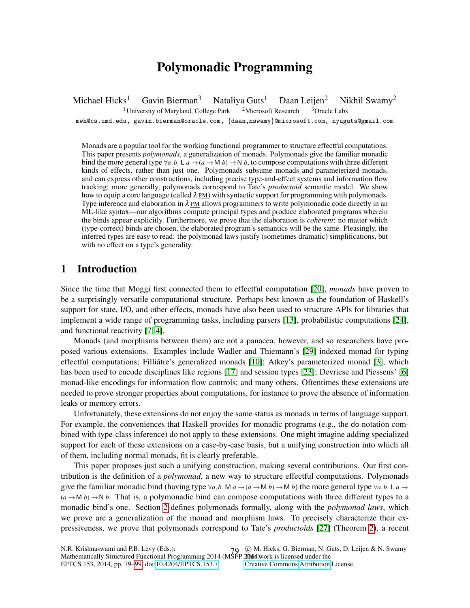# Polymonadic Programming

Michael Hicks<sup>1</sup> Gavin Bierman<sup>3</sup> Nataliya Guts<sup>1</sup> Daan Leijen<sup>2</sup> Nikhil Swamy<sup>2</sup> <sup>1</sup>University of Maryland, College Park  $2$ Microsoft Research  $3$ Oracle Labs mwh@cs.umd.edu, gavin.bierman@oracle.com, {daan,nswamy}@microsoft.com, nyuguts@gmail.com

Monads are a popular tool for the working functional programmer to structure effectful computations. This paper presents *polymonads*, a generalization of monads. Polymonads give the familiar monadic bind the more general type  $\forall a, b \in A \rightarrow (a \rightarrow M b) \rightarrow N b$ , to compose computations with three different kinds of effects, rather than just one. Polymonads subsume monads and parameterized monads, and can express other constructions, including precise type-and-effect systems and information flow tracking; more generally, polymonads correspond to Tate's *productoid* semantic model. We show how to equip a core language (called  $\lambda$ PM) with syntactic support for programming with polymonads. Type inference and elaboration in  $\lambda$  PM allows programmers to write polymonadic code directly in an ML-like syntax—our algorithms compute principal types and produce elaborated programs wherein the binds appear explicitly. Furthermore, we prove that the elaboration is *coherent*: no matter which (type-correct) binds are chosen, the elaborated program's semantics will be the same. Pleasingly, the inferred types are easy to read: the polymonad laws justify (sometimes dramatic) simplifications, but with no effect on a type's generality.

## 1 Introduction

Since the time that Moggi first connected them to effectful computation [\[20\]](#page-17-0), *monads* have proven to be a surprisingly versatile computational structure. Perhaps best known as the foundation of Haskell's support for state, I/O, and other effects, monads have also been used to structure APIs for libraries that implement a wide range of programming tasks, including parsers [\[13\]](#page-16-0), probabilistic computations [\[24\]](#page-17-1), and functional reactivity [\[7,](#page-16-1) [4\]](#page-16-2).

Monads (and morphisms between them) are not a panacea, however, and so researchers have proposed various extensions. Examples include Wadler and Thiemann's [\[29\]](#page-17-2) indexed monad for typing effectful computations; Filliâtre's generalized monads [\[10\]](#page-16-3); Atkey's parameterized monad [\[3\]](#page-16-4), which has been used to encode disciplines like regions [\[17\]](#page-17-3) and session types [\[23\]](#page-17-4); Devriese and Piessens' [\[6\]](#page-16-5) monad-like encodings for information flow controls; and many others. Oftentimes these extensions are needed to prove stronger properties about computations, for instance to prove the absence of information leaks or memory errors.

Unfortunately, these extensions do not enjoy the same status as monads in terms of language support. For example, the conveniences that Haskell provides for monadic programs (e.g., the do notation combined with type-class inference) do not apply to these extensions. One might imagine adding specialized support for each of these extensions on a case-by-case basis, but a unifying construction into which all of them, including normal monads, fit is clearly preferable.

This paper proposes just such a unifying construction, making several contributions. Our first contribution is the definition of a *polymonad*, a new way to structure effectful computations. Polymonads give the familiar monadic bind (having type  $\forall a, b$ . M  $a \rightarrow (a \rightarrow M b) \rightarrow M b$ ) the more general type  $\forall a, b$ . L  $a \rightarrow$  $(a \rightarrow M b) \rightarrow N b$ . That is, a polymonadic bind can compose computations with three different types to a monadic bind's one. Section [2](#page-1-0) defines polymonads formally, along with the *polymonad laws*, which we prove are a generalization of the monad and morphism laws. To precisely characterize their expressiveness, we prove that polymonads correspond to Tate's *productoids* [\[27\]](#page-17-5) (Theorem [2\)](#page-2-0), a recent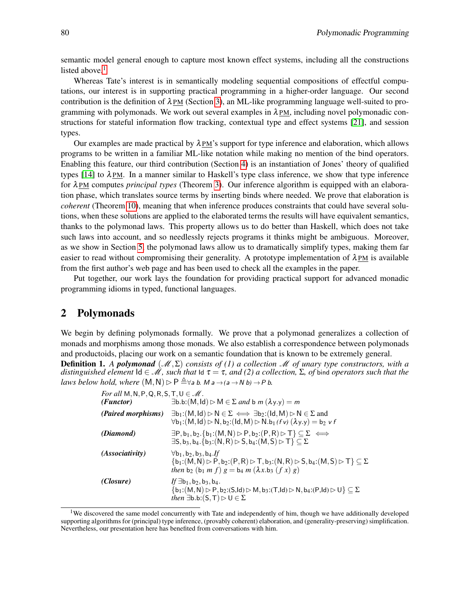semantic model general enough to capture most known effect systems, including all the constructions listed above. $<sup>1</sup>$  $<sup>1</sup>$  $<sup>1</sup>$ </sup>

Whereas Tate's interest is in semantically modeling sequential compositions of effectful computations, our interest is in supporting practical programming in a higher-order language. Our second contribution is the definition of  $\lambda$ PM (Section [3\)](#page-2-1), an ML-like programming language well-suited to programming with polymonads. We work out several examples in  $\lambda$ PM, including novel polymonadic constructions for stateful information flow tracking, contextual type and effect systems [\[21\]](#page-17-6), and session types.

Our examples are made practical by  $\lambda_{PM}$ 's support for type inference and elaboration, which allows programs to be written in a familiar ML-like notation while making no mention of the bind operators. Enabling this feature, our third contribution (Section [4\)](#page-7-0) is an instantiation of Jones' theory of qualified types [\[14\]](#page-16-6) to  $\lambda$ PM. In a manner similar to Haskell's type class inference, we show that type inference for λ PM computes *principal types* (Theorem [3\)](#page-10-0). Our inference algorithm is equipped with an elaboration phase, which translates source terms by inserting binds where needed. We prove that elaboration is *coherent* (Theorem [10\)](#page-13-0), meaning that when inference produces constraints that could have several solutions, when these solutions are applied to the elaborated terms the results will have equivalent semantics, thanks to the polymonad laws. This property allows us to do better than Haskell, which does not take such laws into account, and so needlessly rejects programs it thinks might be ambiguous. Moreover, as we show in Section [5,](#page-14-0) the polymonad laws allow us to dramatically simplify types, making them far easier to read without compromising their generality. A prototype implementation of  $\lambda$ PM is available from the first author's web page and has been used to check all the examples in the paper.

Put together, our work lays the foundation for providing practical support for advanced monadic programming idioms in typed, functional languages.

### <span id="page-1-0"></span>2 Polymonads

<span id="page-1-2"></span>We begin by defining polymonads formally. We prove that a polymonad generalizes a collection of monads and morphisms among those monads. We also establish a correspondence between polymonads and productoids, placing our work on a semantic foundation that is known to be extremely general. Definition 1. *A polymonad* (M,Σ) *consists of (1) a collection* M *of unary type constructors, with a distinguished element*  $\text{Id} \in \mathcal{M}$ , such that  $\text{Id } \tau = \tau$ , and (2) a collection, Σ, of bind operators such that the *laws below hold, where*  $(M, N) \triangleright P \triangleq \forall a \ b$ *. M*  $a \rightarrow (a \rightarrow N b) \rightarrow P b$ *.* 

| For all M, N, P, Q, R, S, T, $U \in \mathcal{M}$ .<br>(Functor) | $\exists$ b.b: $(M, Id) \triangleright M \in \Sigma$ and b m $(\lambda y.y) = m$                                                                                                                                                                                                                    |
|-----------------------------------------------------------------|-----------------------------------------------------------------------------------------------------------------------------------------------------------------------------------------------------------------------------------------------------------------------------------------------------|
| <i>(Paired morphisms)</i>                                       | $\exists b_1:(M,Id) \triangleright N \in \Sigma \iff \exists b_2:(Id, M) \triangleright N \in \Sigma$ and<br>$\forall$ b <sub>1</sub> :(M, ld) $\triangleright$ N, b <sub>2</sub> :(ld, M) $\triangleright$ N.b <sub>1</sub> (f v) ( $\lambda$ y.y) = b <sub>2</sub> v f                            |
| (Diamond)                                                       | $\exists P, b_1, b_2. \{b_1: (M, N) \triangleright P, b_2: (P, R) \triangleright T\} \subseteq \Sigma \iff$<br>$\exists$ S, b <sub>3</sub> , b <sub>4</sub> . {b <sub>3</sub> : (N, R) $\triangleright$ S, b <sub>4</sub> : (M, S) $\triangleright$ T} $\subseteq \Sigma$                           |
| <i>(Associativity)</i>                                          | $\forall$ b <sub>1</sub> , b <sub>2</sub> , b <sub>3</sub> , b <sub>4</sub> .If<br>$\{b_1:(M,N)\triangleright P, b_2:(P,R)\triangleright T, b_3:(N,R)\triangleright S, b_4:(M,S)\triangleright T\}\subseteq \Sigma$<br>then b <sub>2</sub> (b <sub>1</sub> m f) $g = b_4 m (\lambda x.b_3 (f x) g)$ |
| (Closure)                                                       | $If \exists b_1, b_2, b_3, b_4.$<br>${b_1:(M,N) \triangleright P, b_2:(S,Id) \triangleright M, b_3:(T,Id) \triangleright N, b_4:(P,Id) \triangleright U} \subseteq \Sigma$<br><i>then</i> $\exists$ b.b: $(S,T) \triangleright U \in \Sigma$                                                        |

<span id="page-1-1"></span><sup>&</sup>lt;sup>1</sup>We discovered the same model concurrently with Tate and independently of him, though we have additionally developed supporting algorithms for (principal) type inference, (provably coherent) elaboration, and (generality-preserving) simplification. Nevertheless, our presentation here has benefited from conversations with him.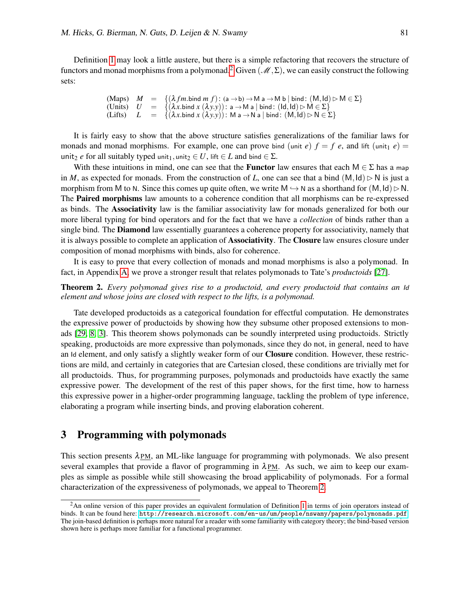Definition [1](#page-1-2) may look a little austere, but there is a simple refactoring that recovers the structure of functors and monad morphisms from a polymonad.<sup>[2](#page-2-2)</sup> Given  $(M,\Sigma)$ , we can easily construct the following sets:

```
(Maps) M = {(\lambda fm.\text{bind } m f): (a \rightarrow b) \rightarrow M a \rightarrow M b | bind: (M,Id) \triangleright M \in \Sigma}
(Units) U = \{(\lambda x.\text{bind } x (\lambda y.y)) : \mathsf{a} \to \mathsf{M} \mathsf{a} \mid \text{bind} : (\mathsf{Id}, \mathsf{Id}) \triangleright \mathsf{M} \in \Sigma \}<br>(Lifts) L = \{(\lambda x.\text{bind } x (\lambda y.y)) : \mathsf{M} \mathsf{a} \to \mathsf{N} \mathsf{a} \mid \text{bind} : (\mathsf{M}, \mathsf{Id}) \triangleright \mathsf{N} \in \Sigma \}= \{(\lambda x.\text{bind } x (\lambda y.y)) : \mathsf{M} \land \rightarrow \mathsf{N} \land \mathsf{bind} : (\mathsf{M},\mathsf{Id}) \rhd \mathsf{N} \in \Sigma \}
```
It is fairly easy to show that the above structure satisfies generalizations of the familiar laws for monads and monad morphisms. For example, one can prove bind (unit *e*)  $f = f e$ , and lift (unit<sub>1</sub> *e*) = unit<sub>2</sub> *e* for all suitably typed unit<sub>1</sub>, unit<sub>2</sub>  $\in U$ , lift  $\in L$  and bind  $\in \Sigma$ .

With these intuitions in mind, one can see that the **Functor** law ensures that each  $M \in \Sigma$  has a map in *M*, as expected for monads. From the construction of *L*, one can see that a bind  $(M,Id) \triangleright N$  is just a morphism from M to N. Since this comes up quite often, we write  $M \hookrightarrow N$  as a shorthand for  $(M,Id) \triangleright N$ . The Paired morphisms law amounts to a coherence condition that all morphisms can be re-expressed as binds. The Associativity law is the familiar associativity law for monads generalized for both our more liberal typing for bind operators and for the fact that we have a *collection* of binds rather than a single bind. The **Diamond** law essentially guarantees a coherence property for associativity, namely that it is always possible to complete an application of **Associativity**. The **Closure** law ensures closure under composition of monad morphisms with binds, also for coherence.

It is easy to prove that every collection of monads and monad morphisms is also a polymonad. In fact, in Appendix [A,](#page-18-0) we prove a stronger result that relates polymonads to Tate's *productoids* [\[27\]](#page-17-5).

#### <span id="page-2-0"></span>Theorem 2. *Every polymonad gives rise to a productoid, and every productoid that contains an* Id *element and whose joins are closed with respect to the lifts, is a polymonad.*

Tate developed productoids as a categorical foundation for effectful computation. He demonstrates the expressive power of productoids by showing how they subsume other proposed extensions to monads [\[29,](#page-17-2) [8,](#page-16-7) [3\]](#page-16-4). This theorem shows polymonads can be soundly interpreted using productoids. Strictly speaking, productoids are more expressive than polymonads, since they do not, in general, need to have an Id element, and only satisfy a slightly weaker form of our Closure condition. However, these restrictions are mild, and certainly in categories that are Cartesian closed, these conditions are trivially met for all productoids. Thus, for programming purposes, polymonads and productoids have exactly the same expressive power. The development of the rest of this paper shows, for the first time, how to harness this expressive power in a higher-order programming language, tackling the problem of type inference, elaborating a program while inserting binds, and proving elaboration coherent.

## <span id="page-2-1"></span>3 Programming with polymonads

This section presents  $\lambda_{PM}$ , an ML-like language for programming with polymonads. We also present several examples that provide a flavor of programming in  $\lambda PM$ . As such, we aim to keep our examples as simple as possible while still showcasing the broad applicability of polymonads. For a formal characterization of the expressiveness of polymonads, we appeal to Theorem [2.](#page-2-0)

<span id="page-2-2"></span><sup>&</sup>lt;sup>2</sup>An online version of this paper provides an equivalent formulation of Definition [1](#page-1-2) in terms of join operators instead of binds. It can be found here: <http://research.microsoft.com/en-us/um/people/nswamy/papers/polymonads.pdf>. The join-based definition is perhaps more natural for a reader with some familiarity with category theory; the bind-based version shown here is perhaps more familiar for a functional programmer.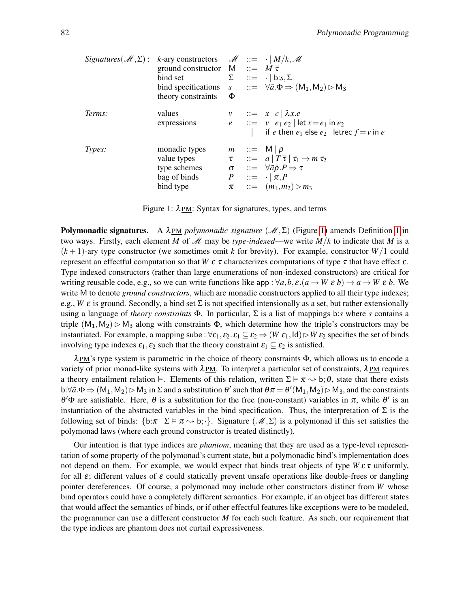|        | Signatures( $\mathcal{M}, \Sigma$ ): k-ary constructors $\mathcal{M} ::= \cdot   M/k, \mathcal{M}$<br>ground constructor $M ::= M \overline{\tau}$<br>bind set<br>theory constraints | Ф | $\Sigma$ ::= $\cdot   b : s, \Sigma$<br>bind specifications $s$ $::= \forall \bar{a} \cdot \Phi \Rightarrow (M_1, M_2) \triangleright M_3$                                                                                   |
|--------|--------------------------------------------------------------------------------------------------------------------------------------------------------------------------------------|---|------------------------------------------------------------------------------------------------------------------------------------------------------------------------------------------------------------------------------|
| Terms: | values<br>expressions                                                                                                                                                                |   | $v$ ::= $x   c   \lambda x.e$<br>$e$ ::= $v   e_1 e_2   \text{let } x = e_1 \text{ in } e_2$<br>if e then $e_1$ else $e_2$   letrec $f = v$ in e                                                                             |
| Types: | monadic types<br>value types<br>type schemes<br>bag of binds<br>bind type                                                                                                            |   | $m ::= M   \rho$<br>$\tau$ ::= $a   T \overline{\tau}   \tau_1 \rightarrow m \tau_2$<br>$\sigma$ ::= $\forall \bar{a}\bar{\rho} P \Rightarrow \tau$<br>$P$ ::= $\cdot   \pi, P$<br>$\pi$ ::= $(m_1, m_2) \triangleright m_3$ |

<span id="page-3-0"></span>Figure 1:  $\lambda$ PM: Syntax for signatures, types, and terms

**Polymonadic signatures.** A  $\lambda$ PM *polymonadic signature* ( $\mathcal{M}, \Sigma$ ) (Figure [1\)](#page-3-0) amends Definition [1](#page-1-2) in two ways. Firstly, each element *M* of *M* may be *type-indexed*—we write  $M/k$  to indicate that *M* is a  $(k+1)$ -ary type constructor (we sometimes omit k for brevity). For example, constructor  $W/1$  could represent an effectful computation so that *W* ε τ characterizes computations of type τ that have effect ε. Type indexed constructors (rather than large enumerations of non-indexed constructors) are critical for writing reusable code, e.g., so we can write functions like app :  $\forall a, b, \varepsilon. (a \rightarrow W \varepsilon b) \rightarrow a \rightarrow W \varepsilon b$ . We write M to denote *ground constructors*, which are monadic constructors applied to all their type indexes; e.g., *W*  $\varepsilon$  is ground. Secondly, a bind set  $\Sigma$  is not specified intensionally as a set, but rather extensionally using a language of *theory constraints* Φ. In particular, Σ is a list of mappings b:*s* where *s* contains a triple  $(M_1, M_2) \triangleright M_3$  along with constraints  $\Phi$ , which determine how the triple's constructors may be instantiated. For example, a mapping sube :  $\forall \varepsilon_1, \varepsilon_2 \in \varepsilon_1 \subseteq \varepsilon_2 \Rightarrow (W \varepsilon_1, \text{Id}) \triangleright W \varepsilon_2$  specifies the set of binds involving type indexes  $\varepsilon_1, \varepsilon_2$  such that the theory constraint  $\varepsilon_1 \subseteq \varepsilon_2$  is satisfied.

 $\lambda$ PM's type system is parametric in the choice of theory constraints  $\Phi$ , which allows us to encode a variety of prior monad-like systems with  $\lambda_{PM}$ . To interpret a particular set of constraints,  $\lambda_{PM}$  requires a theory entailment relation  $\models$ . Elements of this relation, written  $\Sigma \models \pi \leadsto b; \theta$ , state that there exists b: $\forall \bar{a}.\Phi \Rightarrow (M_1, M_2) \triangleright M_3$  in  $\Sigma$  and a substitution  $\theta'$  such that  $\theta \pi = \theta'(M_1, M_2) \triangleright M_3$ , and the constraints  $\theta'$ Φ are satisfiable. Here,  $\theta$  is a substitution for the free (non-constant) variables in π, while  $\theta'$  is an instantiation of the abstracted variables in the bind specification. Thus, the interpretation of  $\Sigma$  is the following set of binds:  $\{b:\pi | \Sigma \models \pi \leadsto b; \cdot\}$ . Signature  $(\mathscr{M}, \Sigma)$  is a polymonad if this set satisfies the polymonad laws (where each ground constructor is treated distinctly).

Our intention is that type indices are *phantom*, meaning that they are used as a type-level representation of some property of the polymonad's current state, but a polymonadic bind's implementation does not depend on them. For example, we would expect that binds treat objects of type  $W \varepsilon \tau$  uniformly, for all  $\varepsilon$ ; different values of  $\varepsilon$  could statically prevent unsafe operations like double-frees or dangling pointer dereferences. Of course, a polymonad may include other constructors distinct from *W* whose bind operators could have a completely different semantics. For example, if an object has different states that would affect the semantics of binds, or if other effectful features like exceptions were to be modeled, the programmer can use a different constructor *M* for each such feature. As such, our requirement that the type indices are phantom does not curtail expressiveness.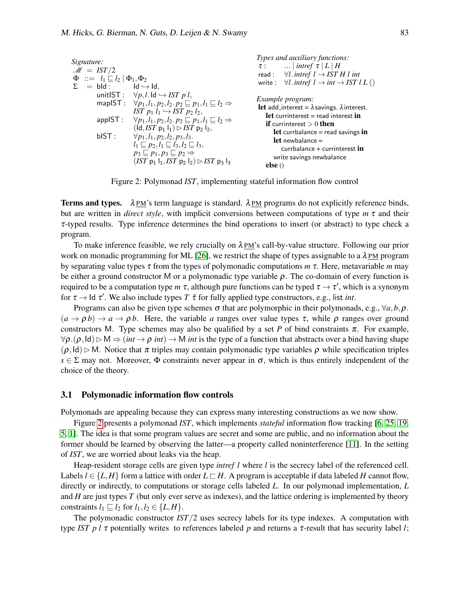| Signature:                                                                                                                                                                                                                                                                                                                                                                                                                                                                                         | Types and auxiliary functions:                                                                                                                                                                                                                                                                                                                                                                                                                                                                                                                                                                                                                                                                                                                                                                                                                                                                                                                                                                                               |     |                                                      |
|----------------------------------------------------------------------------------------------------------------------------------------------------------------------------------------------------------------------------------------------------------------------------------------------------------------------------------------------------------------------------------------------------------------------------------------------------------------------------------------------------|------------------------------------------------------------------------------------------------------------------------------------------------------------------------------------------------------------------------------------------------------------------------------------------------------------------------------------------------------------------------------------------------------------------------------------------------------------------------------------------------------------------------------------------------------------------------------------------------------------------------------------------------------------------------------------------------------------------------------------------------------------------------------------------------------------------------------------------------------------------------------------------------------------------------------------------------------------------------------------------------------------------------------|-----|------------------------------------------------------|
| $M = IST/2$                                                                                                                                                                                                                                                                                                                                                                                                                                                                                        | $\tau$ :                                                                                                                                                                                                                                                                                                                                                                                                                                                                                                                                                                                                                                                                                                                                                                                                                                                                                                                                                                                                                     | ... | \n $\lvert \text{interf } \tau \rvert L \rvert H$ \n |
| $\Phi ::= l_1 \sqsubseteq l_2   \Phi_1, \Phi_2$                                                                                                                                                                                                                                                                                                                                                                                                                                                    | \n $\forall l. \text{interf } l \rightarrow \text{IST } H \text{ } l \text{ } \text{int}$ \n                                                                                                                                                                                                                                                                                                                                                                                                                                                                                                                                                                                                                                                                                                                                                                                                                                                                                                                                 |     |                                                      |
| $\Sigma = bld$ : \n $\forall p, l \text{ } d \rightarrow \text{ } d$ ,\n $\forall p, l \text{ } d \rightarrow \text{ IST } p \text{ } l$ ,\n $\forall p, l, l_1, p_2, l_2, p_2 \sqsubseteq p_1, l_1 \sqsubseteq l_2 \Rightarrow$ \n $\begin{array}{c}\n \text{Example program:} \\  \text{for } p_1 l_1 \rightarrow \text{IST } p_2 l_2, \\  \text{for } p_1 l_1, p_2, l_2, p_2 \sqsubseteq p_1, l_1 \sqsubseteq l_2 \Rightarrow \\  \text{for } p_1 l_1, p_2, l_2, p_3, l_3.\n    \end{array}$ \n | \n        Let currenterest = read interest in\n $\begin{array}{c}\n \text{if curimeters = read interest in} \\  \text{if curimeters = read interest in} \\  \text{if currinterest = read savings in} \\  \text{if currplanes = red savings in} \\  \text{if currplanes = red savings in} \\  \text{if currplanes = red savings in} \\  \text{if currplanes = red savings in} \\  \text{if currplanes = red savings in} \\  \text{if currplanes = red savings in} \\  \text{if currihalance = read savings in} \\  \text{if currihedance = curlalance = red savings in} \\  \text{if currinterest = red{\text{ } sum of} \\  \text{if currinterest = red{\text{ } sum of} \\  \text{if currinterest = red{\text{ } sum of} \\  \text{if currinterest = red{\text{ } sum of} \\  \text{if currinterest = red{\text{ } sum of} \\  \text{if currinterest = red{\text{ } sum of} \\  \text{if currinterest = red{\text{ } sum of} \\  \text{if currinterest = red{\text{ } sum of} \\  \text{if currinterest = red{\text{ } sum$ |     |                                                      |

<span id="page-4-0"></span>Figure 2: Polymonad *IST*, implementing stateful information flow control

Terms and types.  $\lambda$ PM's term language is standard.  $\lambda$ PM programs do not explicitly reference binds, but are written in *direct style*, with implicit conversions between computations of type *m* τ and their τ-typed results. Type inference determines the bind operations to insert (or abstract) to type check a program.

To make inference feasible, we rely crucially on  $\lambda$ PM's call-by-value structure. Following our prior work on monadic programming for ML [\[26\]](#page-17-7), we restrict the shape of types assignable to a  $\lambda_{PM}$  program by separating value types τ from the types of polymonadic computations *m* τ. Here, metavariable *m* may be either a ground constructor M or a polymonadic type variable  $\rho$ . The co-domain of every function is required to be a computation type  $m$   $\tau$ , although pure functions can be typed  $\tau \to \tau'$ , which is a synonym for  $\tau \to$  ld  $\tau'$ . We also include types *T*  $\bar{\tau}$  for fully applied type constructors, e.g., list *int*.

Programs can also be given type schemes  $\sigma$  that are polymorphic in their polymonads, e.g.,  $\forall a, b, \rho$ .  $(a \rightarrow \rho b) \rightarrow a \rightarrow \rho b$ . Here, the variable *a* ranges over value types  $\tau$ , while  $\rho$  ranges over ground constructors M. Type schemes may also be qualified by a set *P* of bind constraints  $\pi$ . For example,  $\forall \rho.(\rho, \text{Id}) \triangleright M \Rightarrow (int \rightarrow \rho int) \rightarrow M$  *int* is the type of a function that abstracts over a bind having shape  $(\rho, \text{Id}) \triangleright M$ . Notice that  $\pi$  triples may contain polymonadic type variables  $\rho$  while specification triples  $s \in \Sigma$  may not. Moreover,  $\Phi$  constraints never appear in  $\sigma$ , which is thus entirely independent of the choice of the theory.

#### <span id="page-4-1"></span>3.1 Polymonadic information flow controls

Polymonads are appealing because they can express many interesting constructions as we now show.

Figure [2](#page-4-0) presents a polymonad *IST*, which implements *stateful* information flow tracking [\[6,](#page-16-5) [25,](#page-17-8) [19,](#page-17-9) [5,](#page-16-8) [1\]](#page-16-9). The idea is that some program values are secret and some are public, and no information about the former should be learned by observing the latter—a property called noninterference [\[11\]](#page-16-10). In the setting of *IST*, we are worried about leaks via the heap.

Heap-resident storage cells are given type *intref l* where *l* is the secrecy label of the referenced cell. Labels  $l \in \{L, H\}$  form a lattice with order  $L \sqsubset H$ . A program is acceptable if data labeled *H* cannot flow, directly or indirectly, to computations or storage cells labeled *L*. In our polymonad implementation, *L* and *H* are just types *T* (but only ever serve as indexes), and the lattice ordering is implemented by theory constraints  $l_1 \sqsubseteq l_2$  for  $l_1, l_2 \in \{L, H\}.$ 

The polymonadic constructor *IST*/2 uses secrecy labels for its type indexes. A computation with type *IST p l*  $\tau$  potentially writes to references labeled *p* and returns a  $\tau$ -result that has security label *l*;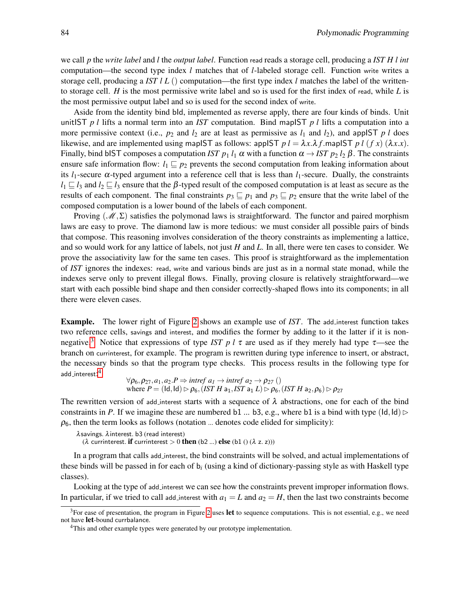we call *p* the *write label* and *l* the *output label*. Function read reads a storage cell, producing a *IST H l int* computation—the second type index *l* matches that of *l*-labeled storage cell. Function write writes a storage cell, producing a *IST l L* () computation—the first type index *l* matches the label of the writtento storage cell. *H* is the most permissive write label and so is used for the first index of read, while *L* is the most permissive output label and so is used for the second index of write.

Aside from the identity bind bId, implemented as reverse apply, there are four kinds of binds. Unit unitIST *p l* lifts a normal term into an *IST* computation. Bind mapIST *p l* lifts a computation into a more permissive context (i.e.,  $p_2$  and  $l_2$  are at least as permissive as  $l_1$  and  $l_2$ ), and appIST  $p l$  does likewise, and are implemented using mapIST as follows: appIST  $p l = \lambda x.\lambda f$ .mapIST  $p l (f x) (\lambda x.x)$ . Finally, bind bIST composes a computation *IST*  $p_1$  *l*<sub>1</sub>  $\alpha$  with a function  $\alpha \rightarrow IST$   $p_2$  *l*<sub>2</sub>  $\beta$ . The constraints ensure safe information flow:  $l_1 \sqsubseteq p_2$  prevents the second computation from leaking information about its  $l_1$ -secure  $\alpha$ -typed argument into a reference cell that is less than  $l_1$ -secure. Dually, the constraints  $l_1 \sqsubseteq l_3$  and  $l_2 \sqsubseteq l_3$  ensure that the  $\beta$ -typed result of the composed computation is at least as secure as the results of each component. The final constraints  $p_3 \sqsubseteq p_1$  and  $p_3 \sqsubseteq p_2$  ensure that the write label of the composed computation is a lower bound of the labels of each component.

Proving ( $\mathcal{M}, \Sigma$ ) satisfies the polymonad laws is straightforward. The functor and paired morphism laws are easy to prove. The diamond law is more tedious: we must consider all possible pairs of binds that compose. This reasoning involves consideration of the theory constraints as implementing a lattice, and so would work for any lattice of labels, not just *H* and *L*. In all, there were ten cases to consider. We prove the associativity law for the same ten cases. This proof is straightforward as the implementation of *IST* ignores the indexes: read, write and various binds are just as in a normal state monad, while the indexes serve only to prevent illegal flows. Finally, proving closure is relatively straightforward—we start with each possible bind shape and then consider correctly-shaped flows into its components; in all there were eleven cases.

Example. The lower right of Figure [2](#page-4-0) shows an example use of *IST*. The add interest function takes two reference cells, savings and interest, and modifies the former by adding to it the latter if it is non-negative.<sup>[3](#page-5-0)</sup> Notice that expressions of type *IST p l*  $\tau$  are used as if they merely had type  $\tau$ —see the branch on currinterest, for example. The program is rewritten during type inference to insert, or abstract, the necessary binds so that the program type checks. This process results in the following type for <code>add\_interest: $^{\rm 4}$  $^{\rm 4}$  $^{\rm 4}$ </code>

 $\forall \rho_6, \rho_{27}, a_1, a_2.P \Rightarrow$  *intref*  $a_1 \rightarrow$  *intref*  $a_2 \rightarrow \rho_{27}$  () where  $P = (Id, Id) \rhd \rho_6$ , (*IST H* a<sub>1</sub>, *IST* a<sub>1</sub> *L*)  $\rhd \rho_6$ , (*IST H* a<sub>2</sub>,  $\rho_6$ )  $\rhd \rho_{27}$ 

The rewritten version of add interest starts with a sequence of  $\lambda$  abstractions, one for each of the bind constraints in *P*. If we imagine these are numbered b1 ... b3, e.g., where b1 is a bind with type ( $\text{Id}, \text{Id}$ )  $\rho_6$ , then the term looks as follows (notation ... denotes code elided for simplicity):

```
λsavings. λinterest. b3 (read interest)
```
( $\lambda$  currinterest. **if** currinterest  $> 0$  **then** (b2 ...) **else** (b1 () ( $\lambda$  z. z)))

In a program that calls add interest, the bind constraints will be solved, and actual implementations of these binds will be passed in for each of b*<sup>i</sup>* (using a kind of dictionary-passing style as with Haskell type classes).

Looking at the type of add interest we can see how the constraints prevent improper information flows. In particular, if we tried to call add interest with  $a_1 = L$  and  $a_2 = H$ , then the last two constraints become

<span id="page-5-0"></span><sup>&</sup>lt;sup>3</sup>For ease of presentation, the program in Figure [2](#page-4-0) uses **let** to sequence computations. This is not essential, e.g., we need not have let-bound currbalance.

<span id="page-5-1"></span><sup>&</sup>lt;sup>4</sup>This and other example types were generated by our prototype implementation.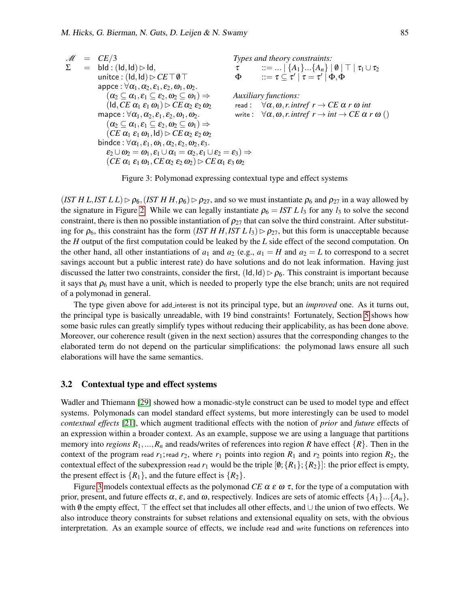$$
\mathcal{M} = CE/3
$$
  
\n
$$
\Sigma = \text{bld} : (\text{Id}, \text{Id}) \rhd \text{Id}, \qquad \tau = \text{if } \{A_1\} \dots \{A_n\} \mid \emptyset \mid \top \mid \tau_1 \cup \tau_2
$$
  
\n
$$
\text{unitce} : (\text{Id}, \text{Id}) \rhd \text{CET} \emptyset \qquad \text{if } \{A_1\} \dots \{A_n\} \mid \emptyset \mid \top \mid \tau_1 \cup \tau_2
$$
  
\n
$$
\text{oppce} : \forall \alpha_1, \alpha_2, \varepsilon_1, \varepsilon_2, \omega_1, \omega_2.
$$
  
\n
$$
(\alpha_2 \subseteq \alpha_1, \varepsilon_1 \subseteq \varepsilon_2, \omega_2 \subseteq \omega_1) \Rightarrow \qquad \text{Auxiliary functions:}
$$
  
\n
$$
(\text{Id}, \text{CE } \alpha_1 \varepsilon_1 \omega_1) \rhd \text{CE } \alpha_2 \varepsilon_2 \omega_2 \qquad \text{read} : \forall \alpha, \omega, r \text{.interf } r \rightarrow \text{CE } \alpha \text{ r } \omega \text{ int}
$$
  
\n
$$
(\alpha_2 \subseteq \alpha_1, \varepsilon_1 \subseteq \varepsilon_2, \omega_2 \subseteq \omega_1) \Rightarrow \qquad \text{write} : \forall \alpha, \omega, r \text{.interf } r \rightarrow \text{int } \rightarrow \text{CE } \alpha \text{ r } \omega \text{ ()}
$$
  
\n
$$
(\alpha_2 \subseteq \alpha_1, \varepsilon_1 \subseteq \varepsilon_2, \omega_2 \subseteq \omega_1) \Rightarrow
$$
  
\n
$$
(\text{CE } \alpha_1 \varepsilon_1 \omega_1, \text{Id}) \rhd \text{CE } \alpha_2 \varepsilon_2 \omega_2
$$
  
\n
$$
\text{bindce} : \forall \alpha_1, \varepsilon_1, \omega_1, \alpha_2, \varepsilon_2, \omega_2, \varepsilon_3.
$$
  
\n
$$
\varepsilon_2 \cup \omega_2 = \omega_1, \varepsilon_1 \cup \alpha_1 = \alpha_2, \varepsilon_1 \cup \varepsilon_2 = \varepsilon_3) \Rightarrow
$$
  
\n
$$
(\
$$

<span id="page-6-0"></span>Figure 3: Polymonad expressing contextual type and effect systems

 $(IST H L, IST L L) \triangleright \rho_6$ ,  $(IST H H, \rho_6) \triangleright \rho_{27}$ , and so we must instantiate  $\rho_6$  and  $\rho_{27}$  in a way allowed by the signature in Figure [2.](#page-4-0) While we can legally instantiate  $\rho_6 = IST L l_3$  for any  $l_3$  to solve the second constraint, there is then no possible instantiation of  $\rho_{27}$  that can solve the third constraint. After substituting for  $\rho_6$ , this constraint has the form (*IST H H*, *IST L l*<sub>3</sub>)  $\rhd \rho_{27}$ , but this form is unacceptable because the *H* output of the first computation could be leaked by the *L* side effect of the second computation. On the other hand, all other instantiations of  $a_1$  and  $a_2$  (e.g.,  $a_1 = H$  and  $a_2 = L$  to correspond to a secret savings account but a public interest rate) do have solutions and do not leak information. Having just discussed the latter two constraints, consider the first,  $(\mathsf{Id}, \mathsf{Id}) \triangleright \rho_6$ . This constraint is important because it says that  $\rho_6$  must have a unit, which is needed to properly type the else branch; units are not required of a polymonad in general.

The type given above for add interest is not its principal type, but an *improved* one. As it turns out, the principal type is basically unreadable, with 19 bind constraints! Fortunately, Section [5](#page-14-0) shows how some basic rules can greatly simplify types without reducing their applicability, as has been done above. Moreover, our coherence result (given in the next section) assures that the corresponding changes to the elaborated term do not depend on the particular simplifications: the polymonad laws ensure all such elaborations will have the same semantics.

#### 3.2 Contextual type and effect systems

Wadler and Thiemann [\[29\]](#page-17-2) showed how a monadic-style construct can be used to model type and effect systems. Polymonads can model standard effect systems, but more interestingly can be used to model *contextual effects* [\[21\]](#page-17-6), which augment traditional effects with the notion of *prior* and *future* effects of an expression within a broader context. As an example, suppose we are using a language that partitions memory into *regions*  $R_1, ..., R_n$  and reads/writes of references into region *R* have effect  $\{R\}$ . Then in the context of the program read  $r_1$ ; read  $r_2$ , where  $r_1$  points into region  $R_1$  and  $r_2$  points into region  $R_2$ , the contextual effect of the subexpression read  $r_1$  would be the triple  $[0;\{R_1\};\{R_2\}]$ : the prior effect is empty, the present effect is  $\{R_1\}$ , and the future effect is  $\{R_2\}$ .

Figure [3](#page-6-0) models contextual effects as the polymonad *CE*  $\alpha \varepsilon \omega \tau$ , for the type of a computation with prior, present, and future effects  $\alpha$ ,  $\varepsilon$ , and  $\omega$ , respectively. Indices are sets of atomic effects  $\{A_1\} \dots \{A_n\}$ , with  $\emptyset$  the empty effect,  $\top$  the effect set that includes all other effects, and ∪ the union of two effects. We also introduce theory constraints for subset relations and extensional equality on sets, with the obvious interpretation. As an example source of effects, we include read and write functions on references into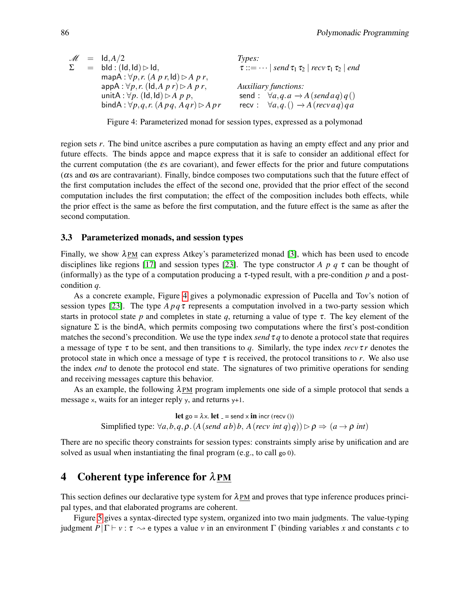|  | $M = Id, A/2$                                               | Types:                                                               |
|--|-------------------------------------------------------------|----------------------------------------------------------------------|
|  | $=$ bld : (ld, ld) $>$ ld,                                  | $\tau ::= \dots  $ send $\tau_1 \tau_2  $ recv $\tau_1 \tau_2  $ end |
|  | mapA : $\forall p, r$ . (A p r, ld) $\triangleright$ A p r, |                                                                      |
|  | $appA: \forall p, r.$ (ld, A p r) $\triangleright$ A p r,   | <b>Auxiliary functions:</b>                                          |
|  | unitA : $\forall p$ . (Id, Id) $\triangleright$ A p p,      | send: $\forall a, q, a \rightarrow A$ (send a q) q ()                |
|  | bindA: $\forall p,q,r$ . $(A pq, A qr) \triangleright A pr$ | recv: $\forall a, q. () \rightarrow A (recvaq)qa$                    |

<span id="page-7-1"></span>Figure 4: Parameterized monad for session types, expressed as a polymonad

region sets *r*. The bind unitce ascribes a pure computation as having an empty effect and any prior and future effects. The binds appce and mapce express that it is safe to consider an additional effect for the current computation (the  $\epsilon$ s are covariant), and fewer effects for the prior and future computations (αs and ωs are contravariant). Finally, bindce composes two computations such that the future effect of the first computation includes the effect of the second one, provided that the prior effect of the second computation includes the first computation; the effect of the composition includes both effects, while the prior effect is the same as before the first computation, and the future effect is the same as after the second computation.

#### 3.3 Parameterized monads, and session types

Finally, we show  $\lambda$ PM can express Atkey's parameterized monad [\[3\]](#page-16-4), which has been used to encode disciplines like regions [\[17\]](#page-17-3) and session types [\[23\]](#page-17-4). The type constructor *A p q* τ can be thought of (informally) as the type of a computation producing a  $\tau$ -typed result, with a pre-condition p and a postcondition *q*.

As a concrete example, Figure [4](#page-7-1) gives a polymonadic expression of Pucella and Tov's notion of session types [\[23\]](#page-17-4). The type  $A p q \tau$  represents a computation involved in a two-party session which starts in protocol state *p* and completes in state *q*, returning a value of type  $\tau$ . The key element of the signature  $\Sigma$  is the bindA, which permits composing two computations where the first's post-condition matches the second's precondition. We use the type index *send*  $\tau q$  to denote a protocol state that requires a message of type  $\tau$  to be sent, and then transitions to q. Similarly, the type index  $\text{rev} \tau \tau$  denotes the protocol state in which once a message of type  $\tau$  is received, the protocol transitions to  $r$ . We also use the index *end* to denote the protocol end state. The signatures of two primitive operations for sending and receiving messages capture this behavior.

As an example, the following  $\lambda$ PM program implements one side of a simple protocol that sends a message x, waits for an integer reply y, and returns y+1.

> let go =  $\lambda$ x. let = send x in incr (recv ()) Simplified type:  $\forall a, b, q, \rho$ . (*A*(*send ab*)*b*, *A*(*recv int q*)*q*)) $\rhd \rho \Rightarrow (a \rightarrow \rho \text{ int})$

There are no specific theory constraints for session types: constraints simply arise by unification and are solved as usual when instantiating the final program (e.g., to call go 0).

## <span id="page-7-0"></span>4 Coherent type inference for  $\lambda$ PM

This section defines our declarative type system for  $\lambda_{PM}$  and proves that type inference produces principal types, and that elaborated programs are coherent.

Figure [5](#page-8-0) gives a syntax-directed type system, organized into two main judgments. The value-typing judgment  $P|\Gamma \vdash v : \tau \rightarrow e$  types a value v in an environment  $\Gamma$  (binding variables x and constants c to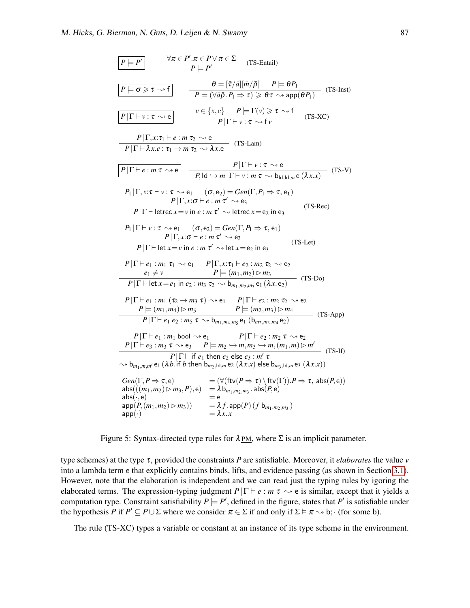$$
\begin{array}{|c|c|c|c|}\hline P & \forall \pi \in P'.\pi \in P \lor \pi \in \Sigma \qquad (\text{TS-Entail})\\ \hline P \models \sigma' & \theta = [\bar{\tau}/\bar{a}][\bar{m}/\bar{\rho}] & P \models \theta P_1\\ \hline P \models (\forall \bar{a}\bar{\rho}.P_1 \Rightarrow \tau) \geq \theta \tau \rightsquigarrow \text{app}(\theta P_1) & (\text{TS-Inst})\\ \hline P|\Gamma \vdash \nu : \tau \rightsquigarrow e & \nu \in \{x,c\} & P \models \Gamma(\nu) \geq \tau \rightsquigarrow f & (\text{TS-XC})\\ \hline P|\Gamma \vdash \lambda x.e. \tau_1 \mapsto e: m \tau_2 \rightsquigarrow e & (\text{TS-Lam})\\ \hline P|\Gamma \vdash \lambda x.e. \tau_1 \rightarrow m \tau_2 \rightsquigarrow \lambda x.e & (\text{TS-Lam})\\ \hline P|\Gamma \vdash e: m \tau \rightsquigarrow e & \overline{P_1|\Gamma \vdash \nu : \tau \rightsquigarrow e} & (\text{TS-Lam})\\ \hline P|\Gamma \vdash e: m \tau \rightsquigarrow e & \overline{P_1|\mathbf{d} \leftrightarrow m|\Gamma \vdash \nu : m \tau \rightsquigarrow \mathbf{b}_{\text{Id},\text{Id},\text{H}}}\n\hline P|\Gamma \vdash \text{etc.} \tau \Rightarrow e_1 \quad (\sigma, e_2) = \text{Gen}(\Gamma, P_1 \Rightarrow \tau, e_1)\\ \hline P|\Gamma \vdash \text{etc.} \tau \Rightarrow \nu \text{ in } \tau' \rightsquigarrow e_3\\ \hline P|\Gamma \vdash \text{etc.} \tau \Rightarrow e_1 \quad (\sigma, e_2) = \text{Gen}(\Gamma, P_1 \Rightarrow \tau, e_1) & (\text{TS-Rec})\\ \hline P|\Gamma \vdash \text{etc.} \tau \Rightarrow e_1 \quad (\sigma, e_2) = \text{Gen}(\Gamma, P_1 \Rightarrow \tau, e_1) & (\text{TS-Dec})\\ \hline P|\Gamma \vdash \text{etc.} \tau \Rightarrow \nu \text{ in } \tau' \rightsquigarrow e_3 & (\text{TS-Let})\\ \hline P|\Gamma \vdash e: m \tau' \rightsquigarrow e_3 & (\text{TS-Let})\\ \hline P|\Gamma \vdash e_1 : m_1 \tau_1 \rightsquigarrow e_1 & P|\Gamma, x : \tau_1 \
$$

<span id="page-8-0"></span>Figure 5: Syntax-directed type rules for  $\lambda_{\text{PM}}$ , where  $\Sigma$  is an implicit parameter.

type schemes) at the type τ, provided the constraints *P* are satisfiable. Moreover, it *elaborates* the value *v* into a lambda term e that explicitly contains binds, lifts, and evidence passing (as shown in Section [3.1\)](#page-4-1). However, note that the elaboration is independent and we can read just the typing rules by igoring the elaborated terms. The expression-typing judgment  $P|\Gamma \vdash e : m \tau \leadsto e$  is similar, except that it yields a computation type. Constraint satisfiability  $P \models P'$ , defined in the figure, states that  $P'$  is satisfiable under the hypothesis *P* if  $P' \subseteq P \cup \Sigma$  where we consider  $\pi \in \Sigma$  if and only if  $\Sigma \models \pi \leadsto b$ ; (for some b).

The rule (TS-XC) types a variable or constant at an instance of its type scheme in the environment.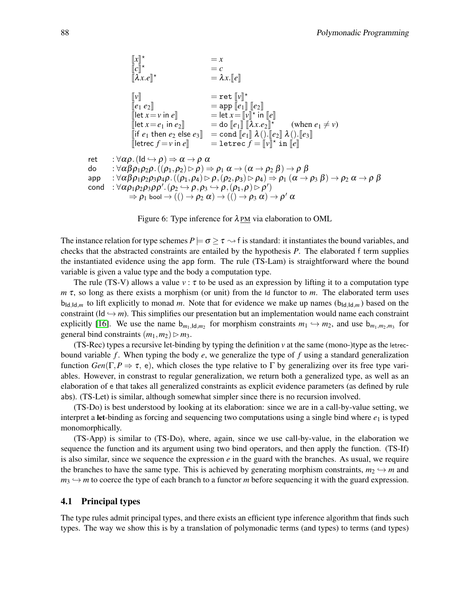| $[[x]]^*$                      | $= x$                                                                   |
|--------------------------------|-------------------------------------------------------------------------|
| $[[c]]^*$                      | $= c$                                                                   |
| $[[\lambda x.e]]^*$            | $= \lambda x$ . $[[e]]$                                                 |
| $[[v]]$                        | $= \text{ret } [[v]]^*$                                                 |
| $[[e_1 e_2]]$                  | $= \text{app } [[e_1]] [[e_2]]$                                         |
| $[[let x = v in e]]$           | $= \text{let } x = [[v]]^* in [[e]]$                                    |
| $[[let x = e_1 in e_2]]$       | $= \text{do } [[e_1]] [[\lambda x.e_2]]^*$ (when $e_1 \neq v$ )         |
| $[[if e_1 then e_2 else e_3]]$ | $= \text{cond } [[e_1]] [\lambda ()$ . $[[e_2]] \lambda ()$ . $[[e_3]]$ |
| $[let c f = v in e]]$          | $= \text{let } x \in [[v]]^* in [[e]]$                                  |
| $[let c f = v in e]]$          | $= \text{let } x \in [v]]^* in [[e]]$                                   |
| $[let c f = v in e]]$          | $= \text{let } x \in [v]]^* in [[e]]$                                   |
| $[let c f = v in e]]$          | $= \text{let } x \in [v]]^* in [[e]]$                                   |
| $[let c f = [v]]^* in [[e]]$   |                                                                         |
| $[let c f = v in e]]$          | $= \text{let } x \in [v]]^* in [[e]]$                                   |
| $$                             |                                                                         |

<span id="page-9-0"></span>Figure 6: Type inference for  $\lambda_{\text{PM}}$  via elaboration to OML

The instance relation for type schemes  $P \models \sigma \geq \tau \leadsto f$  is standard: it instantiates the bound variables, and checks that the abstracted constraints are entailed by the hypothesis *P*. The elaborated f term supplies the instantiated evidence using the app form. The rule (TS-Lam) is straightforward where the bound variable is given a value type and the body a computation type.

The rule (TS-V) allows a value  $v : \tau$  to be used as an expression by lifting it to a computation type *m* τ, so long as there exists a morphism (or unit) from the Id functor to *m*. The elaborated term uses  $b_{\text{Id},\text{Id},m}$  to lift explicitly to monad *m*. Note that for evidence we make up names ( $b_{\text{Id},\text{Id},m}$ ) based on the constraint ( $Id \rightarrow m$ ). This simplifies our presentation but an implementation would name each constraint explicitly [\[16\]](#page-16-11). We use the name  $b_{m_1,ld,m_2}$  for morphism constraints  $m_1 \hookrightarrow m_2$ , and use  $b_{m_1,m_2,m_3}$  for general bind constraints  $(m_1, m_2) \triangleright m_3$ .

(TS-Rec) types a recursive let-binding by typing the definition  $\nu$  at the same (mono-)type as the letrecbound variable  $f$ . When typing the body  $e$ , we generalize the type of  $f$  using a standard generalization function  $Gen(\Gamma, P \Rightarrow \tau, e)$ , which closes the type relative to  $\Gamma$  by generalizing over its free type variables. However, in constrast to regular generalization, we return both a generalized type, as well as an elaboration of e that takes all generalized constraints as explicit evidence parameters (as defined by rule abs). (TS-Let) is similar, although somewhat simpler since there is no recursion involved.

(TS-Do) is best understood by looking at its elaboration: since we are in a call-by-value setting, we interpret a let-binding as forcing and sequencing two computations using a single bind where  $e_1$  is typed monomorphically.

(TS-App) is similar to (TS-Do), where, again, since we use call-by-value, in the elaboration we sequence the function and its argument using two bind operators, and then apply the function. (TS-If) is also similar, since we sequence the expression  $e$  in the guard with the branches. As usual, we require the branches to have the same type. This is achieved by generating morphism constraints,  $m_2 \leftrightarrow m$  and  $m_3 \hookrightarrow m$  to coerce the type of each branch to a functor *m* before sequencing it with the guard expression.

#### 4.1 Principal types

The type rules admit principal types, and there exists an efficient type inference algorithm that finds such types. The way we show this is by a translation of polymonadic terms (and types) to terms (and types)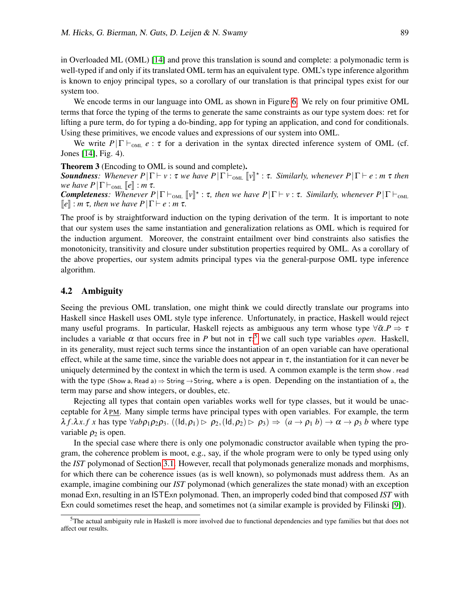in Overloaded ML (OML) [\[14\]](#page-16-6) and prove this translation is sound and complete: a polymonadic term is well-typed if and only if its translated OML term has an equivalent type. OML's type inference algorithm is known to enjoy principal types, so a corollary of our translation is that principal types exist for our system too.

We encode terms in our language into OML as shown in Figure [6.](#page-9-0) We rely on four primitive OML terms that force the typing of the terms to generate the same constraints as our type system does: ret for lifting a pure term, do for typing a do-binding, app for typing an application, and cond for conditionals. Using these primitives, we encode values and expressions of our system into OML.

We write  $P|\Gamma \vdash_{\text{OML}} e : \tau$  for a derivation in the syntax directed inference system of OML (cf. Jones [\[14\]](#page-16-6), Fig. 4).

<span id="page-10-0"></span>Theorem 3 (Encoding to OML is sound and complete).

**Soundness**: Whenever  $P|\Gamma \vdash v : \tau$  *we have*  $P|\Gamma \vdash_{\text{OML}} [v]^* : \tau$ . Similarly, whenever  $P|\Gamma \vdash e : m \tau$  then we have  $P|\Gamma \vdash e : m \tau$ *we have P* $|\Gamma \vdash_{\text{OML}} [e]$  : *m* τ*.* 

**Completeness**: Whenever  $P|\Gamma \vdash_{\text{OML}} [v]^* : \tau$ , then we have  $P|\Gamma \vdash v : \tau$ . Similarly, whenever  $P|\Gamma \vdash_{\text{OML}} [v]^* : \tau$ .  $\llbracket e \rrbracket$  : *m* τ, then we have  $P|\Gamma \vdash e$  : *m* τ.

The proof is by straightforward induction on the typing derivation of the term. It is important to note that our system uses the same instantiation and generalization relations as OML which is required for the induction argument. Moreover, the constraint entailment over bind constraints also satisfies the monotonicity, transitivity and closure under substitution properties required by OML. As a corollary of the above properties, our system admits principal types via the general-purpose OML type inference algorithm.

#### 4.2 Ambiguity

Seeing the previous OML translation, one might think we could directly translate our programs into Haskell since Haskell uses OML style type inference. Unfortunately, in practice, Haskell would reject many useful programs. In particular, Haskell rejects as ambiguous any term whose type  $\forall \bar{\alpha} \cdot P \Rightarrow \tau$ includes a variable  $\alpha$  that occurs free in *P* but not in  $\tau$ ;<sup>[5](#page-10-1)</sup> we call such type variables *open*. Haskell, in its generality, must reject such terms since the instantiation of an open variable can have operational effect, while at the same time, since the variable does not appear in  $\tau$ , the instantiation for it can never be uniquely determined by the context in which the term is used. A common example is the term show . read with the type (Show a, Read a)  $\Rightarrow$  String  $\rightarrow$  String, where a is open. Depending on the instantiation of a, the term may parse and show integers, or doubles, etc.

Rejecting all types that contain open variables works well for type classes, but it would be unacceptable for  $\lambda$  PM. Many simple terms have principal types with open variables. For example, the term  $\lambda f.\lambda x.f \ x \text{ has type } \forall ab \rho_1 \rho_2 \rho_3.$  ((Id,  $\rho_1$ )  $\triangleright \rho_2$ , (Id,  $\rho_2$ )  $\triangleright \rho_3$ )  $\Rightarrow$   $(a \rightarrow \rho_1 b) \rightarrow \alpha \rightarrow \rho_3 b$  where type variable  $\rho_2$  is open.

In the special case where there is only one polymonadic constructor available when typing the program, the coherence problem is moot, e.g., say, if the whole program were to only be typed using only the *IST* polymonad of Section [3.1.](#page-4-1) However, recall that polymonads generalize monads and morphisms, for which there can be coherence issues (as is well known), so polymonads must address them. As an example, imagine combining our *IST* polymonad (which generalizes the state monad) with an exception monad Exn, resulting in an ISTExn polymonad. Then, an improperly coded bind that composed *IST* with Exn could sometimes reset the heap, and sometimes not (a similar example is provided by Filinski [\[9\]](#page-16-12)).

<span id="page-10-1"></span><sup>&</sup>lt;sup>5</sup>The actual ambiguity rule in Haskell is more involved due to functional dependencies and type families but that does not affect our results.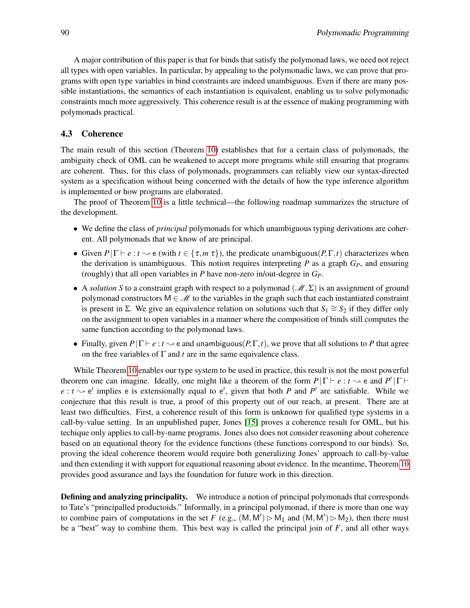A major contribution of this paper is that for binds that satisfy the polymonad laws, we need not reject all types with open variables. In particular, by appealing to the polymonadic laws, we can prove that programs with open type variables in bind constraints are indeed unambiguous. Even if there are many possible instantiations, the semantics of each instantiation is equivalent, enabling us to solve polymonadic constraints much more aggressively. This coherence result is at the essence of making programming with polymonads practical.

#### 4.3 Coherence

The main result of this section (Theorem [10\)](#page-13-0) establishes that for a certain class of polymonads, the ambiguity check of OML can be weakened to accept more programs while still ensuring that programs are coherent. Thus, for this class of polymonads, programmers can reliably view our syntax-directed system as a specification without being concerned with the details of how the type inference algorithm is implemented or how programs are elaborated.

The proof of Theorem [10](#page-13-0) is a little technical—the following roadmap summarizes the structure of the development.

- We define the class of *principal* polymonads for which unambiguous typing derivations are coherent. All polymonads that we know of are principal.
- Given  $P|\Gamma \vdash e : t \rightarrow e$  (with  $t \in \{\tau, m \tau\}$ ), the predicate unambiguous( $P, \Gamma, t$ ) characterizes when the derivation is unambiguous. This notion requires interpreting *P* as a graph *GP*, and ensuring (roughly) that all open variables in *P* have non-zero in/out-degree in *GP*.
- A *solution S* to a constraint graph with respect to a polymonad ( $\mathcal{M}, \Sigma$ ) is an assignment of ground polymonad constructors  $M \in \mathcal{M}$  to the variables in the graph such that each instantiated constraint is present in Σ. We give an equivalence relation on solutions such that  $S_1 \cong S_2$  if they differ only on the assignment to open variables in a manner where the composition of binds still computes the same function according to the polymonad laws.
- Finally, given  $P|\Gamma \vdash e : t \rightarrow e$  and unambiguous( $P, \Gamma, t$ ), we prove that all solutions to P that agree on the free variables of Γ and *t* are in the same equivalence class.

While Theorem [10](#page-13-0) enables our type system to be used in practice, this result is not the most powerful theorem one can imagine. Ideally, one might like a theorem of the form  $P|\Gamma \vdash e : t \leadsto e$  and  $P'|\Gamma \vdash e$  $e: t \rightarrow e'$  implies e is extensionally equal to  $e'$ , given that both *P* and *P'* are satisfiable. While we conjecture that this result is true, a proof of this property out of our reach, at present. There are at least two difficulties. First, a coherence result of this form is unknown for qualified type systems in a call-by-value setting. In an unpublished paper, Jones [\[15\]](#page-16-13) proves a coherence result for OML, but his techique only applies to call-by-name programs. Jones also does not consider reasoning about coherence based on an equational theory for the evidence functions (these functions correspond to our binds). So, proving the ideal coherence theorem would require both generalizing Jones' approach to call-by-value and then extending it with support for equational reasoning about evidence. In the meantime, Theorem [10](#page-13-0) provides good assurance and lays the foundation for future work in this direction.

Defining and analyzing principality. We introduce a notion of principal polymonads that corresponds to Tate's "principalled productoids." Informally, in a principal polymonad, if there is more than one way to combine pairs of computations in the set *F* (e.g.,  $(M, M') \triangleright M_1$  and  $(M, M') \triangleright M_2$ ), then there must be a "best" way to combine them. This best way is called the principal join of *F*, and all other ways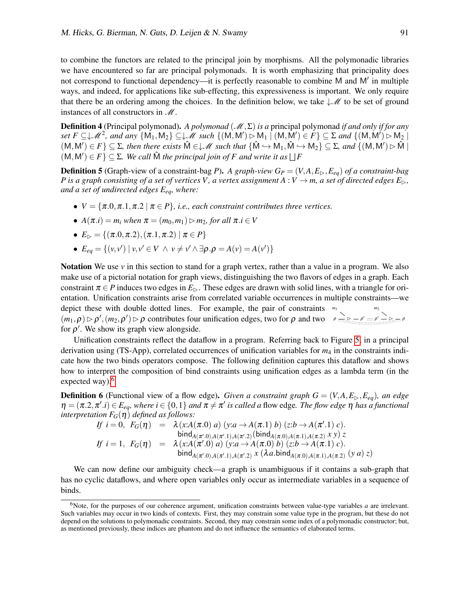to combine the functors are related to the principal join by morphisms. All the polymonadic libraries we have encountered so far are principal polymonads. It is worth emphasizing that principality does not correspond to functional dependency--it is perfectly reasonable to combine M and M' in multiple ways, and indeed, for applications like sub-effecting, this expressiveness is important. We only require that there be an ordering among the choices. In the definition below, we take  $\downarrow \mathscr{M}$  to be set of ground instances of all constructors in  $\mathcal{M}$ .

**Definition 4** (Principal polymonad). *A polymonad* ( $M$ , Σ) *is a* principal polymonad *if and only if for any*  $\mathcal{S}et F \subseteq \downarrow \mathscr{M}^2$ , and any  $\{M_1, M_2\} \subseteq \downarrow \mathscr{M}$  such  $\{(M, M') \rhd M_1 \mid (M, M') \in F\} \subseteq \Sigma$  and  $\{(M, M') \rhd M_2 \mid$  $(M, M') \in F$ }  $\subseteq \Sigma$ , then there exists  $\hat{M} \in \mathcal{M}$  such that  $\{\hat{M} \hookrightarrow M_1, \hat{M} \hookrightarrow M_2\} \subseteq \Sigma$ , and  $\{(M, M') \rhd \hat{M}\}$  $(M, M') \in F$   $\subseteq \Sigma$ . We call  $\hat{M}$  the principal join of F and write it as  $\bigcup F$ 

**Definition 5** (Graph-view of a constraint-bag *P*). *A graph-view*  $G_P = (V, A, E_\rhd, E_{eq})$  *of a constraint-bag P* is a graph consisting of a set of vertices *V*, a vertex assignment  $A: V \to m$ , a set of directed edges  $E_{\rhd}$ , *and a set of undirected edges Eeq, where:*

- $V = {\pi.0, \pi.1, \pi.2 \mid \pi \in P}$ *, i.e., each constraint contributes three vertices.*
- $A(\pi.i) = m_i$  when  $\pi = (m_0, m_1) \triangleright m_2$ , for all  $\pi.i \in V$

• 
$$
E_{\triangleright} = \{(\pi.0, \pi.2), (\pi.1, \pi.2) | \pi \in P\}
$$

•  $E_{eq} = \{(v, v') \mid v, v' \in V \land v \neq v' \land \exists \rho . \rho = A(v) = A(v')\}$ 

Notation We use *v* in this section to stand for a graph vertex, rather than a value in a program. We also make use of a pictorial notation for graph views, distinguishing the two flavors of edges in a graph. Each constraint  $\pi \in P$  induces two edges in  $E_{\triangleright}$ . These edges are drawn with solid lines, with a triangle for orientation. Unification constraints arise from correlated variable occurrences in multiple constraints—we *m*<sup>1</sup> *m*<sup>2</sup>  $ρ \_\geq \_\geq -ρ' \n\mathrel{\mathop:}= ρ' \_\geq \_\geq \rho$ depict these with double dotted lines. For example, the pair of constraints  $(m_1, \rho) \triangleright \rho', (m_2, \rho') \triangleright \rho$  contributes four unification edges, two for  $\rho$  and two for  $\rho'$ . We show its graph view alongside.

Unification constraints reflect the dataflow in a program. Referring back to Figure [5,](#page-8-0) in a principal derivation using (TS-App), correlated occurrences of unification variables for *m*<sup>4</sup> in the constraints indicate how the two binds operators compose. The following definition captures this dataflow and shows how to interpret the composition of bind constraints using unification edges as a lambda term (in the expected way).<sup>[6](#page-12-0)</sup>

**Definition 6** (Functional view of a flow edge). *Given a constraint graph*  $G = (V, A, E_\triangleright, E_{eq})$ *, an edge*  $\eta = (\pi.2, \pi'.i) \in E_{eq}$ , where  $i \in \{0, 1\}$  and  $\pi \neq \pi'$  is called a flow edge. The flow edge  $\eta$  has a functional *interpretation*  $F_G(\eta)$  *defined as follows:* 

$$
If i = 0, F_G(\eta) = \lambda(x:A(\pi.0) a) (y:a \to A(\pi.1) b) (z:b \to A(\pi'.1) c).
$$
  
\n
$$
If i = 1, F_G(\eta) = \lambda(x:A(\pi'.0) a) (y:a \to A(\pi.0) A(\pi.1) A(\pi.2) x y) z
$$
  
\n
$$
If i = 1, F_G(\eta) = \lambda(x:A(\pi'.0) a) (y:a \to A(\pi.0) b) (z:b \to A(\pi.1) c).
$$
  
\n
$$
bind_{A(\pi'.0) A(\pi'.1) A(\pi'.2)} x (\lambda a.\text{bind}_{A(\pi.0) A(\pi.1) A(\pi.2)} (y a) z)
$$

We can now define our ambiguity check—a graph is unambiguous if it contains a sub-graph that has no cyclic dataflows, and where open variables only occur as intermediate variables in a sequence of binds.

<span id="page-12-0"></span> $6$ Note, for the purposes of our coherence argument, unification constraints between value-type variables  $a$  are irrelevant. Such variables may occur in two kinds of contexts. First, they may constrain some value type in the program, but these do not depend on the solutions to polymonadic constraints. Second, they may constrain some index of a polymonadic constructor; but, as mentioned previously, these indices are phantom and do not influence the semantics of elaborated terms.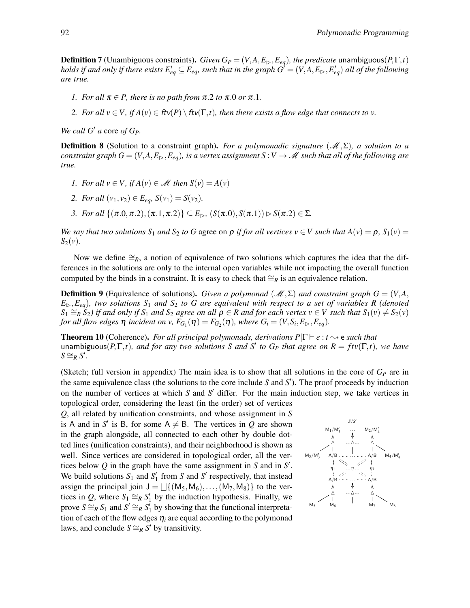**Definition 7** (Unambiguous constraints). *Given G<sub>P</sub>* = (*V*,*A*, $E_{\triangleright}$ , $E_{eq}$ ), the predicate unambiguous( $P, \Gamma, t$ ) *holds if and only if there exists*  $E'_{eq} \subseteq E_{eq}$ *, such that in the graph*  $G' = (V, A, E_\rhd, E'_{eq})$  *all of the following are true.*

- *1. For all*  $\pi \in P$ *, there is no path from*  $\pi$ *.2 to*  $\pi$ *.0 or*  $\pi$ *.1.*
- *2. For all*  $v \in V$ *, if*  $A(v) \in f(v) \setminus f(v) \setminus f(v)$ *, then there exists a flow edge that connects to v.*

*We call G' a* core *of G<sub>P</sub>*.

Definition 8 (Solution to a constraint graph). *For a polymonadic signature* (M,Σ)*, a solution to a constraint graph*  $G = (V, A, E_\triangleright, E_{eq})$ *, is a vertex assignment*  $S: V \to M$  *such that all of the following are true.*

- *1. For all*  $v \in V$ *, if*  $A(v) \in M$  *then*  $S(v) = A(v)$
- *2. For all*  $(v_1, v_2) \in E_{ea}$ ,  $S(v_1) = S(v_2)$ .
- *3. For all*  $\{(\pi.0, \pi.2), (\pi.1, \pi.2)\}\subseteq E_{\triangleright}$ ,  $(S(\pi.0), S(\pi.1)) \triangleright S(\pi.2) \in \Sigma$ .

*We say that two solutions*  $S_1$  *and*  $S_2$  *to*  $G$  agree on  $\rho$  *if for all vertices*  $v \in V$  *such that*  $A(v) = \rho$ ,  $S_1(v) = \rho$  $S_2(v)$ .

Now we define  $\cong_R$ , a notion of equivalence of two solutions which captures the idea that the differences in the solutions are only to the internal open variables while not impacting the overall function computed by the binds in a constraint. It is easy to check that ≅<sub>*R*</sub> is an equivalence relation.

**Definition 9** (Equivalence of solutions). *Given a polymonad* ( $\mathcal{M}, \Sigma$ ) *and constraint graph*  $G = (V, A, \Sigma)$  $E_{\triangleright}$ , *E<sub>eq</sub>*)*, two solutions*  $S_1$  *and*  $S_2$  *to G are equivalent with respect to a set of variables R (denoted*  $S_1 \cong_R S_2$ ) if and only if  $S_1$  and  $S_2$  agree on all  $\rho \in R$  and for each vertex  $v \in V$  such that  $S_1(v) \neq S_2(v)$ *for all flow edges*  $\eta$  *incident on v,*  $F_{G_1}(\eta) = F_{G_2}(\eta)$ *, where*  $G_i = (V, S_i, E_{\rhd}, E_{eq})$ *.* 

<span id="page-13-0"></span>**Theorem 10** (Coherence). *For all principal polymonads, derivations P*| $\Gamma \vdash e : t \rightsquigarrow e$  *such that*  $t$  and  $P$  *to*  $F$ ,  $F$ ,  $t$ *), and for any two solutions S and S' to*  $G$ *<sup><i>P*</sup> *that agree on*  $R = f t v(\Gamma, t)$ *, we have*  $S \cong_R S'.$ 

(Sketch; full version in appendix) The main idea is to show that all solutions in the core of  $G_p$  are in the same equivalence class (the solutions to the core include *S* and *S* 0 ). The proof proceeds by induction on the number of vertices at which  $S$  and  $S'$  differ. For the main induction step, we take vertices in topological order, considering the least (in the order) set of vertices

*Q*, all related by unification constraints, and whose assignment in *S* is A and in *S'* is B, for some  $A \neq B$ . The vertices in *Q* are shown in the graph alongside, all connected to each other by double dotted lines (unification constraints), and their neighborhood is shown as well. Since vertices are considered in topological order, all the vertices below *Q* in the graph have the same assignment in *S* and in *S* 0 . We build solutions  $S_1$  and  $S'_1$  from  $S$  and  $S'$  respectively, that instead assign the principal join  $J = \bigcup \{ (M_5, M_6), \dots, (M_7, M_8) \}$  to the vertices in *Q*, where  $S_1 \cong_R S_1'$  by the induction hypothesis. Finally, we prove  $S \cong_R S_1$  and  $S' \cong_R S_1'$  by showing that the functional interpretation of each of the flow edges  $\eta_i$  are equal according to the polymonad laws, and conclude  $S \cong_R S'$  by transitivity.

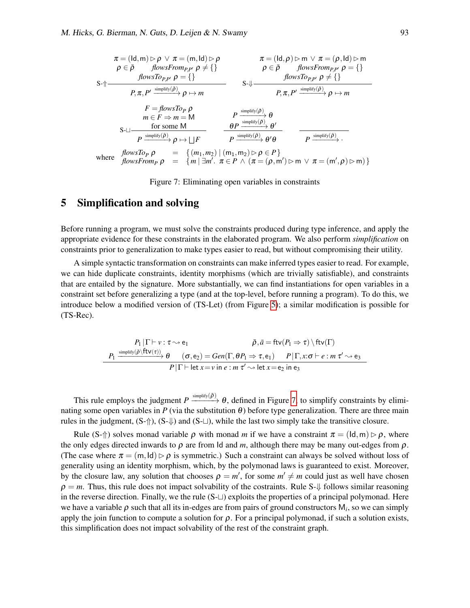$$
\pi = (\text{Id}, m) \triangleright \rho \lor \pi = (m, \text{Id}) \triangleright \rho
$$
\n
$$
\rho \in \bar{\rho} \qquad \text{flowsFrom}_{P,P'} \rho \neq \{\} \qquad \qquad \rho \in \bar{\rho} \qquad \text{flowsFrom}_{P,P'} \rho = \{\} \qquad \text{flowsTo}_{P,P'} \rho = \{\} \qquad \text{flowsTo}_{P,P'} \rho = \{\} \qquad \text{flowsTo}_{P,P'} \rho = \{\} \qquad \text{flowsTo}_{P,P'} \rho = \{\} \qquad \text{flowsTo}_{P,P'} \rho \neq \{\} \qquad \text{S-1}
$$
\n
$$
\text{P}, \pi, P' \xrightarrow{\text{simplify}(\bar{\rho})} \rho \mapsto m
$$
\n
$$
\text{F} = \text{flowsTo}_{P} \rho
$$
\n
$$
\text{S-1} \qquad \text{for some M} \qquad \text{P} \xrightarrow{\text{simplify}(\bar{\rho})} \theta
$$
\n
$$
\text{S-1} \qquad \text{P} \xrightarrow{\text{simplify}(\bar{\rho})} \rho \mapsto \text{P} \qquad \text{P} \xrightarrow{\text{simplify}(\bar{\rho})} \theta
$$
\n
$$
\text{S-1} \qquad \text{P} \xrightarrow{\text{simplify}(\bar{\rho})} \rho \mapsto \text{LIF} \qquad \text{P} \xrightarrow{\text{simplify}(\bar{\rho})} \theta'
$$
\n
$$
\text{Where} \qquad \text{flowsTo}_{P} \rho = \{ (m_1, m_2) \mid (m_1, m_2) \triangleright \rho \in P \} \qquad \text{flowsFrom}_{P} \rho = \{ m \mid \exists m'. \pi \in P \land (\pi = (\rho, m') \triangleright m \lor \pi = (m', \rho) \triangleright m) \}
$$

<span id="page-14-1"></span>Figure 7: Eliminating open variables in constraints

## <span id="page-14-0"></span>5 Simplification and solving

Before running a program, we must solve the constraints produced during type inference, and apply the appropriate evidence for these constraints in the elaborated program. We also perform *simplification* on constraints prior to generalization to make types easier to read, but without compromising their utility.

A simple syntactic transformation on constraints can make inferred types easier to read. For example, we can hide duplicate constraints, identity morphisms (which are trivially satisfiable), and constraints that are entailed by the signature. More substantially, we can find instantiations for open variables in a constraint set before generalizing a type (and at the top-level, before running a program). To do this, we introduce below a modified version of (TS-Let) (from Figure [5\)](#page-8-0); a similar modification is possible for (TS-Rec).

$$
P_1 | \Gamma \vdash \nu : \tau \leadsto e_1 \qquad \qquad \bar{\rho}, \bar{a} = \text{ftv}(P_1 \Rightarrow \tau) \setminus \text{ftv}(\Gamma)
$$
\n
$$
P_1 \xrightarrow{\text{simplify}(\bar{\rho} \setminus \text{ftv}(\tau))} \theta \qquad (\sigma, e_2) = Gen(\Gamma, \theta P_1 \Rightarrow \tau, e_1) \qquad P | \Gamma, x : \sigma \vdash e : m \tau' \leadsto e_3
$$
\n
$$
P | \Gamma \vdash \text{let } x = \nu \text{ in } e : m \tau' \leadsto \text{let } x = e_2 \text{ in } e_3
$$

This rule employs the judgment  $P \xrightarrow{\text{simplify}(\bar{\rho})} \theta$ , defined in Figure [7,](#page-14-1) to simplify constraints by eliminating some open variables in *P* (via the substitution  $\theta$ ) before type generalization. There are three main rules in the judgment,  $(S-\{\})$ ,  $(S-\{\})$  and  $(S-\bot)$ , while the last two simply take the transitive closure.

Rule (S- $\uparrow$ ) solves monad variable  $\rho$  with monad *m* if we have a constraint  $\pi = (\mathsf{Id}, \mathsf{m}) \triangleright \rho$ , where the only edges directed inwards to  $\rho$  are from Id and *m*, although there may be many out-edges from  $\rho$ . (The case where  $\pi = (m, \text{Id}) \triangleright \rho$  is symmetric.) Such a constraint can always be solved without loss of generality using an identity morphism, which, by the polymonad laws is guaranteed to exist. Moreover, by the closure law, any solution that chooses  $\rho = m'$ , for some  $m' \neq m$  could just as well have chosen  $\rho = m$ . Thus, this rule does not impact solvability of the costraints. Rule S- $\downarrow$  follows similar reasoning in the reverse direction. Finally, we the rule  $(S-\sqcup)$  exploits the properties of a principal polymonad. Here we have a variable  $\rho$  such that all its in-edges are from pairs of ground constructors  $M_i$ , so we can simply apply the join function to compute a solution for  $\rho$ . For a principal polymonad, if such a solution exists, this simplification does not impact solvability of the rest of the constraint graph.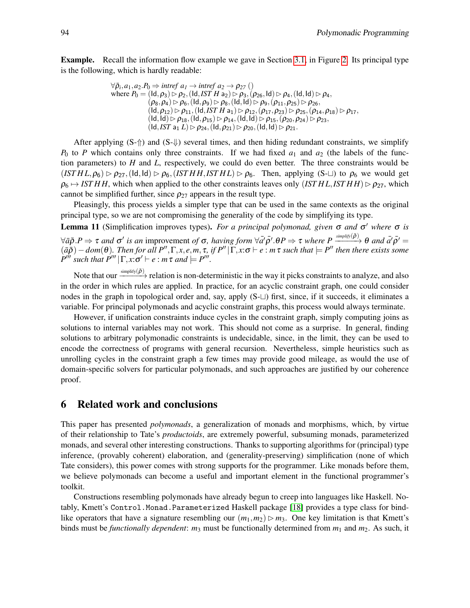Example. Recall the information flow example we gave in Section [3.1,](#page-4-1) in Figure [2.](#page-4-0) Its principal type is the following, which is hardly readable:

$$
\forall \bar{\rho}_i, a_1, a_2. P_0 \Rightarrow \text{intref } a_1 \rightarrow \text{intref } a_2 \rightarrow \rho_{27} \text{ } ()
$$
\nwhere  $P_0 = (\text{Id}, \rho_3) \rhd \rho_2, (\text{Id}, \text{IST } H a_2) \rhd \rho_3, (\rho_{26}, \text{Id}) \rhd \rho_4, (\text{Id}, \text{Id}) \rhd \rho_4, (\rho_8, \rho_4) \rhd \rho_6, (\text{Id}, \rho_9) \rhd \rho_8, (\text{Id}, \text{Id}) \rhd \rho_{9}, (\rho_{11}, \rho_{25}) \rhd \rho_{26},$ \n
$$
(\text{Id}, \rho_{12}) \rhd \rho_{11}, (\text{Id}, \text{IST } H a_1) \rhd \rho_{12}, (\rho_{17}, \rho_{23}) \rhd \rho_{25}, (\rho_{14}, \rho_{18}) \rhd \rho_{17},
$$
\n
$$
(\text{Id}, \text{Id}) \rhd \rho_{18}, (\text{Id}, \rho_{15}) \rhd \rho_{14}, (\text{Id}, \text{Id}) \rhd \rho_{15}, (\rho_{20}, \rho_{24}) \rhd \rho_{23},
$$
\n
$$
(\text{Id}, \text{IST } a_1 L) \rhd \rho_{24}, (\text{Id}, \rho_{21}) \rhd \rho_{20}, (\text{Id}, \text{Id}) \rhd \rho_{21}.
$$

After applying  $(S-\uparrow)$  and  $(S-\downarrow)$  several times, and then hiding redundant constraints, we simplify  $P_0$  to *P* which contains only three constraints. If we had fixed  $a_1$  and  $a_2$  (the labels of the function parameters) to *H* and *L*, respectively, we could do even better. The three constraints would be  $(ISTHL, \rho_6) \rhd \rho_{27}$ , (Id, Id)  $\rhd \rho_6$ , (*IST H H*, *IST H L*)  $\rhd \rho_6$ . Then, applying (S- $\sqcup$ ) to  $\rho_6$  we would get  $\rho_6 \mapsto ISTHH$ , which when applied to the other constraints leaves only  $(ISTHL, ISTHH) \triangleright \rho_{27}$ , which cannot be simplified further, since  $\rho_{27}$  appears in the result type.

Pleasingly, this process yields a simpler type that can be used in the same contexts as the original principal type, so we are not compromising the generality of the code by simplifying its type.

Lemma 11 (Simplification improves types). *For a principal polymonad, given* σ *and* σ <sup>0</sup> *where* σ *is*  $\forall \bar{a}\bar{\rho}.P \Rightarrow \tau$  and  $\sigma'$  is an improvement of  $\sigma$ , having form  $\forall \bar{a'}\bar{\rho'}. \theta P \Rightarrow \tau$  where  $P \xrightarrow{\text{simpity}(\bar{\rho})} \theta$  and  $\bar{a'}\bar{\rho'} =$  $(\bar{a}\bar{\rho})-dom(\theta)$ . Then for all  $P'', \Gamma, x, e, m, \tau$ , if  $P''|\overline{\Gamma}, x$ : $\sigma \vdash e : m\tau$  such that  $\models P''$  then there exists some  $P^{\prime\prime\prime}$  *such that*  $P^{\prime\prime\prime} | \Gamma, x : \sigma' \vdash e : m \tau$  *and*  $\models P^{\prime\prime\prime}.$ 

Note that our  $\xrightarrow{\text{simplify}(\bar{\rho})}$  relation is non-deterministic in the way it picks constraints to analyze, and also in the order in which rules are applied. In practice, for an acyclic constraint graph, one could consider nodes in the graph in topological order and, say, apply  $(S-\sqcup)$  first, since, if it succeeds, it eliminates a variable. For principal polymonads and acyclic constraint graphs, this process would always terminate.

However, if unification constraints induce cycles in the constraint graph, simply computing joins as solutions to internal variables may not work. This should not come as a surprise. In general, finding solutions to arbitrary polymonadic constraints is undecidable, since, in the limit, they can be used to encode the correctness of programs with general recursion. Nevertheless, simple heuristics such as unrolling cycles in the constraint graph a few times may provide good mileage, as would the use of domain-specific solvers for particular polymonads, and such approaches are justified by our coherence proof.

## 6 Related work and conclusions

This paper has presented *polymonads*, a generalization of monads and morphisms, which, by virtue of their relationship to Tate's *productoids*, are extremely powerful, subsuming monads, parameterized monads, and several other interesting constructions. Thanks to supporting algorithms for (principal) type inference, (provably coherent) elaboration, and (generality-preserving) simplification (none of which Tate considers), this power comes with strong supports for the programmer. Like monads before them, we believe polymonads can become a useful and important element in the functional programmer's toolkit.

Constructions resembling polymonads have already begun to creep into languages like Haskell. Notably, Kmett's Control.Monad.Parameterized Haskell package [\[18\]](#page-17-10) provides a type class for bindlike operators that have a signature resembling our  $(m_1, m_2) \triangleright m_3$ . One key limitation is that Kmett's binds must be *functionally dependent*: *m*<sup>3</sup> must be functionally determined from *m*<sup>1</sup> and *m*2. As such, it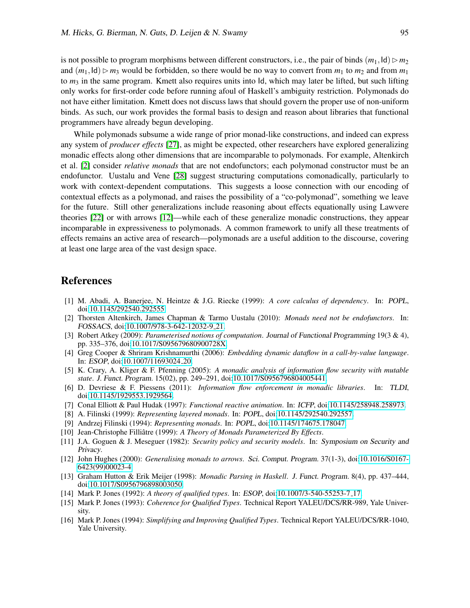is not possible to program morphisms between different constructors, i.e., the pair of binds  $(m_1, \text{Id}) \triangleright m_2$ and  $(m_1,Id) \triangleright m_3$  would be forbidden, so there would be no way to convert from  $m_1$  to  $m_2$  and from  $m_1$ to  $m_3$  in the same program. Kmett also requires units into Id, which may later be lifted, but such lifting only works for first-order code before running afoul of Haskell's ambiguity restriction. Polymonads do not have either limitation. Kmett does not discuss laws that should govern the proper use of non-uniform binds. As such, our work provides the formal basis to design and reason about libraries that functional programmers have already begun developing.

While polymonads subsume a wide range of prior monad-like constructions, and indeed can express any system of *producer effects* [\[27\]](#page-17-5), as might be expected, other researchers have explored generalizing monadic effects along other dimensions that are incomparable to polymonads. For example, Altenkirch et al. [\[2\]](#page-16-14) consider *relative monads* that are not endofunctors; each polymonad constructor must be an endofunctor. Uustalu and Vene [\[28\]](#page-17-11) suggest structuring computations comonadically, particularly to work with context-dependent computations. This suggests a loose connection with our encoding of contextual effects as a polymonad, and raises the possibility of a "co-polymonad", something we leave for the future. Still other generalizations include reasoning about effects equationally using Lawvere theories [\[22\]](#page-17-12) or with arrows [\[12\]](#page-16-15)—while each of these generalize monadic constructions, they appear incomparable in expressiveness to polymonads. A common framework to unify all these treatments of effects remains an active area of research—polymonads are a useful addition to the discourse, covering at least one large area of the vast design space.

## References

- <span id="page-16-9"></span>[1] M. Abadi, A. Banerjee, N. Heintze & J.G. Riecke (1999): *A core calculus of dependency*. In: POPL, doi[:10.1145/292540.292555.](http://dx.doi.org/10.1145/292540.292555)
- <span id="page-16-14"></span>[2] Thorsten Altenkirch, James Chapman & Tarmo Uustalu (2010): *Monads need not be endofunctors*. In: FOSSACS, doi[:10.1007/978-3-642-12032-9](http://dx.doi.org/10.1007/978-3-642-12032-9_21) 21.
- <span id="page-16-4"></span>[3] Robert Atkey (2009): *Parameterised notions of computation*. Journal of Functional Programming 19(3 & 4), pp. 335–376, doi[:10.1017/S095679680900728X.](http://dx.doi.org/10.1017/S095679680900728X)
- <span id="page-16-2"></span>[4] Greg Cooper & Shriram Krishnamurthi (2006): *Embedding dynamic dataflow in a call-by-value language*. In: ESOP, doi[:10.1007/11693024](http://dx.doi.org/10.1007/11693024_20) 20.
- <span id="page-16-8"></span>[5] K. Crary, A. Kliger & F. Pfenning (2005): *A monadic analysis of information flow security with mutable state*. J. Funct. Program. 15(02), pp. 249–291, doi[:10.1017/S0956796804005441.](http://dx.doi.org/10.1017/S0956796804005441)
- <span id="page-16-5"></span>[6] D. Devriese & F. Piessens (2011): *Information flow enforcement in monadic libraries*. In: TLDI, doi[:10.1145/1929553.1929564.](http://dx.doi.org/10.1145/1929553.1929564)
- <span id="page-16-1"></span>[7] Conal Elliott & Paul Hudak (1997): *Functional reactive animation*. In: ICFP, doi[:10.1145/258948.258973.](http://dx.doi.org/10.1145/258948.258973)
- <span id="page-16-7"></span>[8] A. Filinski (1999): *Representing layered monads*. In: POPL, doi[:10.1145/292540.292557.](http://dx.doi.org/10.1145/292540.292557)
- <span id="page-16-12"></span>[9] Andrzej Filinski (1994): *Representing monads*. In: POPL, doi[:10.1145/174675.178047.](http://dx.doi.org/10.1145/174675.178047)
- <span id="page-16-3"></span>[10] Jean-Christophe Filliâtre (1999): A Theory of Monads Parameterized By Effects.
- <span id="page-16-10"></span>[11] J.A. Goguen & J. Meseguer (1982): *Security policy and security models*. In: Symposium on Security and Privacy.
- <span id="page-16-15"></span>[12] John Hughes (2000): *Generalising monads to arrows*. Sci. Comput. Program. 37(1-3), doi[:10.1016/S0167-](http://dx.doi.org/10.1016/S0167-6423(99)00023-4) [6423\(99\)00023-4.](http://dx.doi.org/10.1016/S0167-6423(99)00023-4)
- <span id="page-16-0"></span>[13] Graham Hutton & Erik Meijer (1998): *Monadic Parsing in Haskell*. J. Funct. Program. 8(4), pp. 437–444, doi[:10.1017/S0956796898003050.](http://dx.doi.org/10.1017/S0956796898003050)
- <span id="page-16-6"></span>[14] Mark P. Jones (1992): *A theory of qualified types*. In: ESOP, doi[:10.1007/3-540-55253-7](http://dx.doi.org/10.1007/3-540-55253-7_17) 17.
- <span id="page-16-13"></span>[15] Mark P. Jones (1993): *Coherence for Qualified Types*. Technical Report YALEU/DCS/RR-989, Yale University.
- <span id="page-16-11"></span>[16] Mark P. Jones (1994): *Simplifying and Improving Qualified Types*. Technical Report YALEU/DCS/RR-1040, Yale University.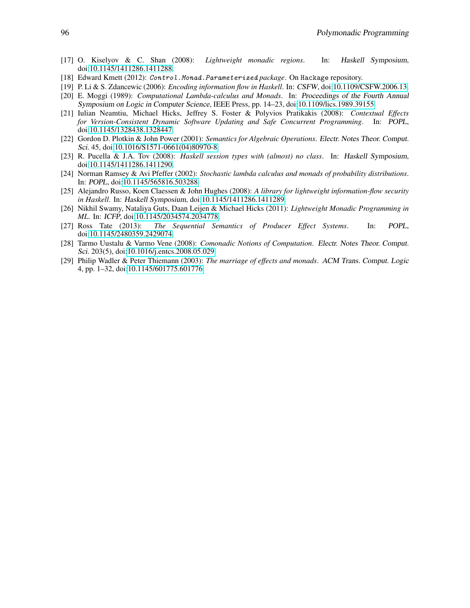- <span id="page-17-3"></span>[17] O. Kiselyov & C. Shan (2008): *Lightweight monadic regions*. In: Haskell Symposium, doi[:10.1145/1411286.1411288.](http://dx.doi.org/10.1145/1411286.1411288)
- <span id="page-17-10"></span>[18] Edward Kmett (2012): Control.Monad.Parameterized *package*. On Hackage repository.
- <span id="page-17-9"></span>[19] P. Li & S. Zdancewic (2006): *Encoding information flow in Haskell*. In: CSFW, doi[:10.1109/CSFW.2006.13.](http://dx.doi.org/10.1109/CSFW.2006.13)
- <span id="page-17-0"></span>[20] E. Moggi (1989): *Computational Lambda-calculus and Monads*. In: Proceedings of the Fourth Annual Symposium on Logic in Computer Science, IEEE Press, pp. 14–23, doi[:10.1109/lics.1989.39155.](http://dx.doi.org/10.1109/lics.1989.39155)
- <span id="page-17-6"></span>[21] Iulian Neamtiu, Michael Hicks, Jeffrey S. Foster & Polyvios Pratikakis (2008): *Contextual Effects for Version-Consistent Dynamic Software Updating and Safe Concurrent Programming*. In: POPL, doi[:10.1145/1328438.1328447.](http://dx.doi.org/10.1145/1328438.1328447)
- <span id="page-17-12"></span>[22] Gordon D. Plotkin & John Power (2001): *Semantics for Algebraic Operations*. Electr. Notes Theor. Comput. Sci. 45, doi[:10.1016/S1571-0661\(04\)80970-8.](http://dx.doi.org/10.1016/S1571-0661(04)80970-8)
- <span id="page-17-4"></span>[23] R. Pucella & J.A. Tov (2008): *Haskell session types with (almost) no class*. In: Haskell Symposium, doi[:10.1145/1411286.1411290.](http://dx.doi.org/10.1145/1411286.1411290)
- <span id="page-17-1"></span>[24] Norman Ramsey & Avi Pfeffer (2002): *Stochastic lambda calculus and monads of probability distributions*. In: POPL, doi[:10.1145/565816.503288.](http://dx.doi.org/10.1145/565816.503288)
- <span id="page-17-8"></span>[25] Alejandro Russo, Koen Claessen & John Hughes (2008): *A library for lightweight information-flow security in Haskell*. In: Haskell Symposium, doi[:10.1145/1411286.1411289.](http://dx.doi.org/10.1145/1411286.1411289)
- <span id="page-17-7"></span>[26] Nikhil Swamy, Nataliya Guts, Daan Leijen & Michael Hicks (2011): *Lightweight Monadic Programming in ML*. In: ICFP, doi[:10.1145/2034574.2034778.](http://dx.doi.org/10.1145/2034574.2034778)
- <span id="page-17-5"></span>[27] Ross Tate (2013): *The Sequential Semantics of Producer Effect Systems*. In: POPL, doi[:10.1145/2480359.2429074.](http://dx.doi.org/10.1145/2480359.2429074)
- <span id="page-17-11"></span>[28] Tarmo Uustalu & Varmo Vene (2008): *Comonadic Notions of Computation*. Electr. Notes Theor. Comput. Sci. 203(5), doi[:10.1016/j.entcs.2008.05.029.](http://dx.doi.org/10.1016/j.entcs.2008.05.029)
- <span id="page-17-2"></span>[29] Philip Wadler & Peter Thiemann (2003): *The marriage of effects and monads*. ACM Trans. Comput. Logic 4, pp. 1–32, doi[:10.1145/601775.601776.](http://dx.doi.org/10.1145/601775.601776)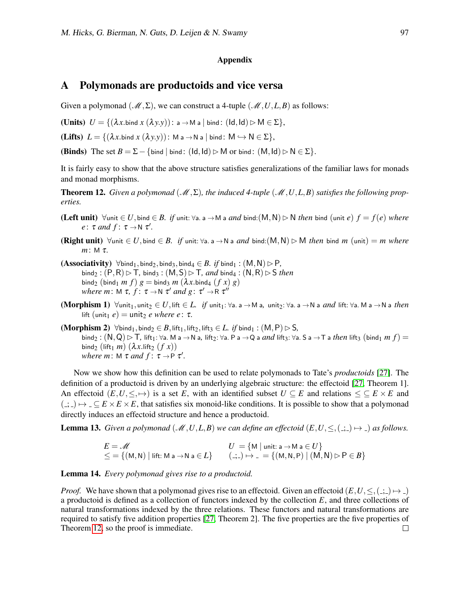#### Appendix

## <span id="page-18-0"></span>A Polymonads are productoids and vice versa

Given a polymonad ( $\mathcal{M}, \Sigma$ ), we can construct a 4-tuple ( $\mathcal{M}, U, L, B$ ) as follows:

**(Units)**  $U = \{ (\lambda x \text{.bind } x (\lambda y \text{.}y)) : a \rightarrow M \text{ a } | \text{ bind} : (\text{Id}, \text{Id}) \triangleright M \in \Sigma \},\$ 

**(Lifts)**  $L = \{ (\lambda x \text{.bind } x (\lambda y \text{.} y)) : M \text{ a } \rightarrow N \text{ a } | \text{ bind} : M \hookrightarrow N \in \Sigma \},$ 

**(Binds)** The set  $B = \Sigma - \{\text{bind } | \text{ bind}: (Id, Id) \triangleright M \text{ or bind}: (M, Id) \triangleright N \in \Sigma \}.$ 

It is fairly easy to show that the above structure satisfies generalizations of the familiar laws for monads and monad morphisms.

<span id="page-18-1"></span>**Theorem 12.** *Given a polymonad*  $(\mathcal{M}, \Sigma)$ , the induced 4-tuple  $(\mathcal{M}, U, L, B)$  *satisfies the following properties.*

- (Left unit)  $\forall$ unit ∈ *U*, bind ∈ *B.* if unit:  $\forall$ a. a → M a *and* bind:(M, N)  $\triangleright$  N *then* bind (unit *e*)  $f = f(e)$  *where e*:  $\tau$  *and*  $f: \tau \rightarrow N$   $\tau'$ .
- **(Right unit)**  $\forall$ unit  $\in U$ , bind  $\in B$ . if unit:  $\forall$ a. a  $\rightarrow$  N a *and* bind:(M, N)  $\triangleright$  M *then* bind *m* (unit) = *m where m*: M τ*.*
- $(Associativity)$   $\forall$ bind<sub>1</sub>, bind<sub>2</sub>, bind<sub>3</sub>, bind<sub>4</sub>  $\in$  *B. if* bind<sub>1</sub> :  $(M, N) \triangleright P$ ,  $\text{bind}_2 : (P, R) \triangleright T$ ,  $\text{bind}_3 : (M, S) \triangleright T$ , and  $\text{bind}_4 : (N, R) \triangleright S$  *then*  $\binom{6}{2}$  ( $\binom{6}{1}$  *m f*)  $g = \text{bind}_3$  *m*  $(\lambda x.\text{bind}_4$   $(f x) g)$ where  $m: M \tau$ ,  $f: \tau \rightarrow N \tau'$  and  $g: \tau' \rightarrow R \tau''$
- (Morphism 1)  $\forall$ unit<sub>1</sub>, unit<sub>2</sub> ∈ *U*, lift ∈ *L. if* unit<sub>1</sub>:  $\forall$ a. a → M a, unit<sub>2</sub>:  $\forall$ a. a → N a *and* lift:  $\forall$ a. M a → N a *then* lift (unit<sub>1</sub>  $e$ ) = unit<sub>2</sub> *e where e* :  $\tau$ .
- $(Morphism 2)$   $\forall$ bind<sub>1</sub>, bind<sub>2</sub> ∈ *B*, lift<sub>1</sub>, lift<sub>2</sub>, lift<sub>3</sub> ∈ *L. if* bind<sub>1</sub> :  $(M, P) \triangleright S$ *,*  $b$ ind<sub>2</sub> :  $(N,Q)$   $\triangleright$   $\top$ , lift<sub>1</sub>:  $\forall a$ . M a  $\rightarrow$  N a, lift<sub>2</sub>:  $\forall a$ . P a  $\rightarrow$  Q a *and* lift<sub>3</sub>:  $\forall a$ . S a  $\rightarrow$  T a *then* lift<sub>3</sub> ( $b$ ind<sub>1</sub> *m f*) =  $\binom{1}{2}$  (lift<sub>1</sub> *m*) ( $\lambda x$ .lift<sub>2</sub> (*f x*)) where  $m$ :  $M \tau$  *and*  $f: \tau \rightarrow P \tau'$ .

Now we show how this definition can be used to relate polymonads to Tate's *productoids* [\[27\]](#page-17-5). The definition of a productoid is driven by an underlying algebraic structure: the effectoid [\[27,](#page-17-5) Theorem 1]. An effectoid  $(E, U, \leq, \rightarrow)$  is a set *E*, with an identified subset  $U \subseteq E$  and relations  $\leq E \times E$  and  $(z, \cdot) \mapsto \cdot \subseteq E \times E \times E$ , that satisfies six monoid-like conditions. It is possible to show that a polymonad directly induces an effectoid structure and hence a productoid.

**Lemma 13.** *Given a polymonad* ( $M$ , *U*, *L*, *B*) *we can define an effectoid*  $(E, U, \leq, \infty) \mapsto -1$  *as follows.* 

$$
E = \mathcal{M}
$$
  
\n
$$
\leq = \{ (M, N) | \text{ lift: } M \text{ a } \rightarrow N \text{ a } \in L \}
$$
  
\n
$$
U = \{ M | \text{ unit: } \text{ a } \rightarrow M \text{ a } \in U \}
$$
  
\n
$$
(-, -) \mapsto L = \{ (M, N, P) | (M, N) \triangleright P \in B \}
$$

#### Lemma 14. *Every polymonad gives rise to a productoid.*

*Proof.* We have shown that a polymonad gives rise to an effectoid. Given an effectoid  $(E, U, \leq, (-, ) \mapsto )$ a productoid is defined as a collection of functors indexed by the collection *E*, and three collections of natural transformations indexed by the three relations. These functors and natural transformations are required to satisfy five addition properties [\[27,](#page-17-5) Theorem 2]. The five properties are the five properties of Theorem [12,](#page-18-1) so the proof is immediate. $\Box$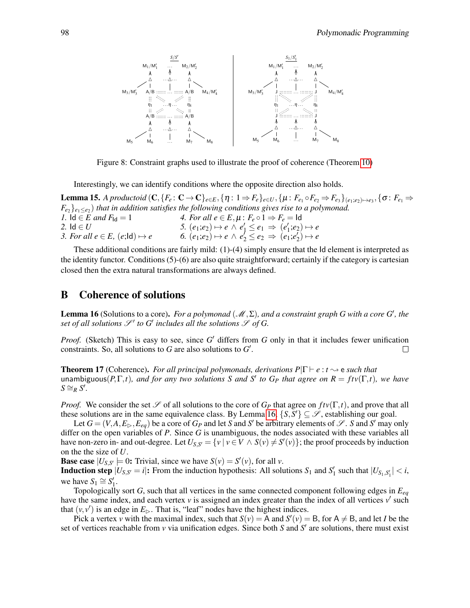

<span id="page-19-1"></span>Figure 8: Constraint graphs used to illustrate the proof of coherence (Theorem [10\)](#page-13-0)

Interestingly, we can identify conditions where the opposite direction also holds.

**Lemma 15.** A productoid  $(C, \{F_e: \mathbf{C} \to \mathbf{C}\}_{e \in E}, \{\eta: 1 \Rightarrow F_e\}_{e \in U}, \{\mu: F_{e_1} \circ F_{e_2} \Rightarrow F_{e_3}\}_{(e_1; e_2) \mapsto e_3}, \{\sigma: F_{e_1} \Rightarrow \sigma: F_{e_2} \Rightarrow F_{e_3} \leftrightarrow F_{e_4} \Rightarrow F_{e_5} \leftrightarrow F_{e_6} \Rightarrow F_{e_7} \Rightarrow F_{e_8} \leftrightarrow F_{e_9} \Rightarrow F_{e_9} \leftrightarrow F_{e_1} \Rightarrow F_{e_2} \leftrightarrow F_{e_3$  $F_{e_2}$ }<sub> $e_1 \leq e_2$ ) *that in addition satisfies the following conditions gives rise to a polymonad.*</sub> *1.*  $\text{Id} \in E$  and  $F_{\text{Id}} = 1$  *4. For all*  $e \in E, \mu : F_e \circ 1 \Rightarrow F_e = \text{Id}$ *2.* Id ∈ *U*<br> *2. For all*  $e \in E$ ,  $(e;$ |d) →  $e$ <br> *b.*  $(e_1; e_2)$  →  $e \wedge e'_2 \le e_2 \Rightarrow (e_1; e'_2) \mapsto e$ <br> *b.*  $(e_1; e_2) \mapsto e \wedge e'_2 \le e_2 \Rightarrow (e_1; e'_2) \mapsto e$ *3. For all*  $e \in E$ *,*  $(e;Id) \mapsto e$ *.* 

These additional conditions are fairly mild: (1)-(4) simply ensure that the Id element is interpreted as the identity functor. Conditions (5)-(6) are also quite straightforward; certainly if the category is cartesian closed then the extra natural transformations are always defined.

### B Coherence of solutions

<span id="page-19-0"></span>**Lemma 16** (Solutions to a core). For a polymonad  $(\mathcal{M}, \Sigma)$ , and a constraint graph G with a core G', the *set of all solutions*  $\mathscr{S}'$  to  $G'$  includes all the solutions  $\mathscr{S}$  of G.

*Proof.* (Sketch) This is easy to see, since G' differs from G only in that it includes fewer unification constraints. So, all solutions to  $G$  are also solutions to  $G'$ .  $\Box$ 

**Theorem 17** (Coherence). *For all principal polymonads, derivations P*| $\Gamma \vdash e : t \rightsquigarrow e$  *such that*  $t$  and  $P$  *to*  $F$ ,  $F$ ,  $t$ *), and for any two solutions S and S' to*  $G$ *<sup><i>P*</sup> *that agree on*  $R = f t v(\Gamma, t)$ *, we have*  $S \cong_R S'.$ 

*Proof.* We consider the set  $\mathscr S$  of all solutions to the core of  $G_P$  that agree on  $ftv(\Gamma,t)$ , and prove that all these solutions are in the same equivalence class. By Lemma [16,](#page-19-0)  $\{S, S'\} \subseteq \mathscr{S}$ , establishing our goal.

Let  $G = (V, A, E_{\triangleright}, E_{eq})$  be a core of  $G_P$  and let *S* and *S*<sup>*'*</sup> be arbitrary elements of  $\mathscr{S}$ . *S* and *S'* may only differ on the open variables of *P*. Since *G* is unambiguous, the nodes associated with these variables all have non-zero in- and out-degree. Let  $U_{S,S'} = \{v \mid v \in V \land S(v) \neq S'(v)\}$ ; the proof proceeds by induction on the the size of *U*.

**Base case**  $|U_{S,S'}| = 0$ : Trivial, since we have  $S(v) = S'(v)$ , for all *v*.

**Induction step**  $|U_{S,S'}=i|$ : From the induction hypothesis: All solutions  $S_1$  and  $S'_1$  such that  $|U_{S_1,S'_1}| < i$ , we have  $S_1 \cong S'_1$ .

Topologically sort *G*, such that all vertices in the same connected component following edges in *Eeq* have the same index, and each vertex  $v$  is assigned an index greater than the index of all vertices  $v'$  such that  $(v, v')$  is an edge in  $E_{\triangleright}$ . That is, "leaf" nodes have the highest indices.

Pick a vertex *v* with the maximal index, such that  $S(v) = A$  and  $S'(v) = B$ , for  $A \neq B$ , and let *I* be the set of vertices reachable from  $\nu$  via unification edges. Since both *S* and *S'* are solutions, there must exist